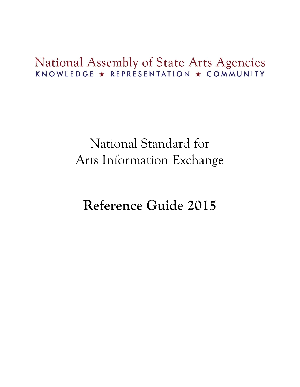# National Assembly of State Arts Agencies KNOWLEDGE ★ REPRESENTATION ★ COMMUNITY

# National Standard for Arts Information Exchange

# **Reference Guide 2015**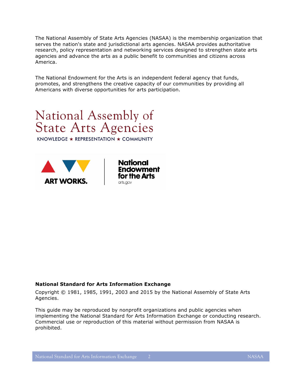The National Assembly of State Arts Agencies (NASAA) is the membership organization that serves the nation's state and jurisdictional arts agencies. NASAA provides authoritative research, policy representation and networking services designed to strengthen state arts agencies and advance the arts as a public benefit to communities and citizens across America.

The National Endowment for the Arts is an independent federal agency that funds, promotes, and strengthens the creative capacity of our communities by providing all Americans with diverse opportunities for arts participation.



KNOWLEDGE ★ REPRESENTATION ★ COMMUNITY





#### **National Standard for Arts Information Exchange**

Copyright © 1981, 1985, 1991, 2003 and 2015 by the National Assembly of State Arts Agencies.

This guide may be reproduced by nonprofit organizations and public agencies when implementing the National Standard for Arts Information Exchange or conducting research. Commercial use or reproduction of this material without permission from NASAA is prohibited.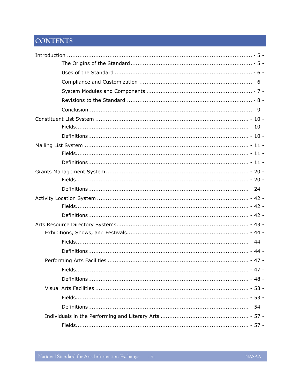# CONTENTS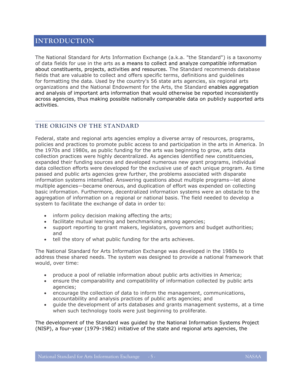# <span id="page-4-0"></span>**INTRODUCTION**

The National Standard for Arts Information Exchange (a.k.a. "the Standard") is a taxonomy of data fields for use in the arts as a means to collect and analyze compatible information about constituents, projects, activities and resources. The Standard recommends database fields that are valuable to collect and offers specific terms, definitions and guidelines for formatting the data. Used by the country's 56 state arts agencies, six regional arts organizations and the National Endowment for the Arts, the Standard enables aggregation and analysis of important arts information that would otherwise be reported inconsistently across agencies, thus making possible nationally comparable data on publicly supported arts activities.

# <span id="page-4-1"></span>**THE ORIGINS OF THE STANDARD**

Federal, state and regional arts agencies employ a diverse array of resources, programs, policies and practices to promote public access to and participation in the arts in America. In the 1970s and 1980s, as public funding for the arts was beginning to grow, arts data collection practices were highly decentralized. As agencies identified new constituencies, expanded their funding sources and developed numerous new grant programs, individual data collection efforts were developed for the exclusive use of each unique program. As time passed and public arts agencies grew further, the problems associated with disparate information systems intensified. Answering questions about multiple programs—let alone multiple agencies—became onerous, and duplication of effort was expended on collecting basic information. Furthermore, decentralized information systems were an obstacle to the aggregation of information on a regional or national basis. The field needed to develop a system to facilitate the exchange of data in order to:

- inform policy decision making affecting the arts;
- facilitate mutual learning and benchmarking among agencies;
- support reporting to grant makers, legislators, governors and budget authorities; and
- tell the story of what public funding for the arts achieves.

The National Standard for Arts Information Exchange was developed in the 1980s to address these shared needs. The system was designed to provide a national framework that would, over time:

- produce a pool of reliable information about public arts activities in America;
- ensure the comparability and compatibility of information collected by public arts agencies;
- encourage the collection of data to inform the management, communications, accountability and analysis practices of public arts agencies; and
- guide the development of arts databases and grants management systems, at a time when such technology tools were just beginning to proliferate.

The development of the Standard was guided by the National Information Systems Project (NISP), a four-year (1979-1982) initiative of the state and regional arts agencies, the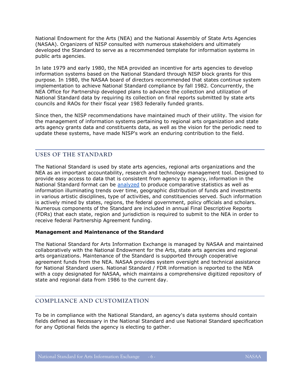National Endowment for the Arts (NEA) and the National Assembly of State Arts Agencies (NASAA). Organizers of NISP consulted with numerous stakeholders and ultimately developed the Standard to serve as a recommended template for information systems in public arts agencies.

In late 1979 and early 1980, the NEA provided an incentive for arts agencies to develop information systems based on the National Standard through NISP block grants for this purpose. In 1980, the NASAA board of directors recommended that states continue system implementation to achieve National Standard compliance by fall 1982. Concurrently, the NEA Office for Partnership developed plans to advance the collection and utilization of National Standard data by requiring its collection on final reports submitted by state arts councils and RAOs for their fiscal year 1983 federally funded grants.

Since then, the NISP recommendations have maintained much of their utility. The vision for the management of information systems pertaining to regional arts organization and state arts agency grants data and constituents data, as well as the vision for the periodic need to update these systems, have made NISP's work an enduring contribution to the field.

# <span id="page-5-0"></span>**USES OF THE STANDARD**

The National Standard is used by state arts agencies, regional arts organizations and the NEA as an important accountability, research and technology management tool. Designed to provide easy access to data that is consistent from agency to agency, information in the National Standard format can be [analyzed](http://www.nasaa-arts.org/Research/Grant-Making/index.php) to produce comparative statistics as well as information illuminating trends over time, geographic distribution of funds and investments in various artistic disciplines, type of activities, and constituencies served. Such information is actively mined by states, regions, the federal government, policy officials and scholars. Numerous components of the Standard are included in annual Final Descriptive Reports (FDRs) that each state, region and jurisdiction is required to submit to the NEA in order to receive federal Partnership Agreement funding.

#### **Management and Maintenance of the Standard**

The National Standard for Arts Information Exchange is managed by NASAA and maintained collaboratively with the National Endowment for the Arts, state arts agencies and regional arts organizations. Maintenance of the Standard is supported through cooperative agreement funds from the NEA. NASAA provides system oversight and technical assistance for National Standard users. National Standard / FDR information is reported to the NEA with a copy designated for NASAA, which maintains a comprehensive digitized repository of state and regional data from 1986 to the current day.

# <span id="page-5-1"></span>**COMPLIANCE AND CUSTOMIZATION**

To be in compliance with the National Standard, an agency's data systems should contain fields defined as Necessary in the National Standard and use National Standard specification for any Optional fields the agency is electing to gather.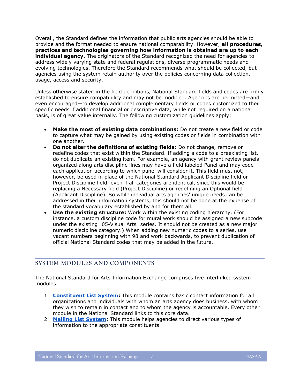Overall, the Standard defines the information that public arts agencies should be able to provide and the format needed to ensure national comparability. However, **all procedures, practices and technologies governing how information is obtained are up to each individual agency.** The originators of the Standard recognized the need for agencies to address widely varying state and federal regulations, diverse programmatic needs and evolving technologies. Therefore the Standard recommends what should be collected, but agencies using the system retain authority over the policies concerning data collection, usage, access and security.

Unless otherwise stated in the field definitions, National Standard fields and codes are firmly established to ensure compatibility and may not be modified. Agencies are permitted—and even encouraged—to develop additional complementary fields or codes customized to their specific needs if additional financial or descriptive data, while not required on a national basis, is of great value internally. The following customization guidelines apply:

- **Make the most of existing data combinations:** Do not create a new field or code to capture what may be gained by using existing codes or fields in combination with one another.
- **Do not alter the definitions of existing fields:** Do not change, remove or redefine codes that exist within the Standard. If adding a code to a preexisting list, do not duplicate an existing item. For example, an agency with grant review panels organized along arts discipline lines may have a field labeled Panel and may code each application according to which panel will consider it. This field must not, however, be used in place of the National Standard Applicant Discipline field or Project Discipline field, even if all categories are identical, since this would be replacing a Necessary field (Project Discipline) or redefining an Optional field (Applicant Discipline). So while individual arts agencies' unique needs can be addressed in their information systems, this should not be done at the expense of the standard vocabulary established by and for them all.
- **Use the existing structure:** Work within the existing coding hierarchy. (For instance, a custom discipline code for mural work should be assigned a new subcode under the existing "05-Visual Arts" series. It should not be created as a new major numeric discipline category.) When adding new numeric codes to a series, use vacant numbers beginning with 98 and work backwards, to prevent duplication of official National Standard codes that may be added in the future.

# <span id="page-6-0"></span>**SYSTEM MODULES AND COMPONENTS**

The National Standard for Arts Information Exchange comprises five interlinked system modules:

- 1. **[Constituent List System:](#page-9-0)** This module contains basic contact information for all organizations and individuals with whom an arts agency does business, with whom they wish to remain in contact and to whom the agency is accountable. Every other module in the National Standard links to this core data.
- 2. **[Mailing List System:](#page-10-0)** This module helps agencies to direct various types of information to the appropriate constituents.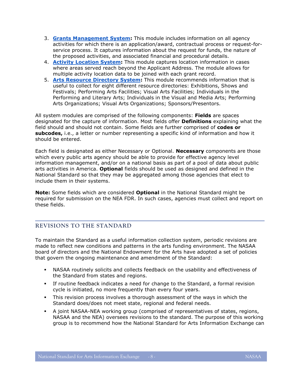- 3. **[Grants Management System:](#page-19-0)** This module includes information on all agency activities for which there is an application/award, contractual process or request-forservice process. It captures information about the request for funds, the nature of the proposed activities, and associated financial and procedural details.
- 4. **Activity [Location System:](#page-41-0)** This module captures location information in cases where areas served reach beyond the Applicant Address. The module allows for multiple activity location data to be joined with each grant record.
- 5. **[Arts Resource Directory System:](#page-42-0)** This module recommends information that is useful to collect for eight different resource directories: Exhibitions, Shows and Festivals; Performing Arts Facilities; Visual Arts Facilities; Individuals in the Performing and Literary Arts; Individuals in the Visual and Media Arts; Performing Arts Organizations; Visual Arts Organizations; Sponsors/Presentors.

All system modules are comprised of the following components: **Fields** are spaces designated for the capture of information. Most fields offer **Definitions** explaining what the field should and should not contain. Some fields are further comprised of **codes or subcodes,** i.e., a letter or number representing a specific kind of information and how it should be entered.

Each field is designated as either Necessary or Optional. **Necessary** components are those which every public arts agency should be able to provide for effective agency level information management, and/or on a national basis as part of a pool of data about public arts activities in America. **Optional** fields should be used as designed and defined in the National Standard so that they may be aggregated among those agencies that elect to include them in their systems.

**Note:** Some fields which are considered **Optional** in the National Standard might be required for submission on the NEA FDR. In such cases, agencies must collect and report on these fields.

# <span id="page-7-0"></span>**REVISIONS TO THE STANDARD**

To maintain the Standard as a useful information collection system, periodic revisions are made to reflect new conditions and patterns in the arts funding environment. The NASAA board of directors and the National Endowment for the Arts have adopted a set of policies that govern the ongoing maintenance and amendment of the Standard:

- NASAA routinely solicits and collects feedback on the usability and effectiveness of the Standard from states and regions.
- If routine feedback indicates a need for change to the Standard, a formal revision cycle is initiated, no more frequently than every four years.
- This revision process involves a thorough assessment of the ways in which the Standard does/does not meet state, regional and federal needs.
- A joint NASAA-NEA working group (comprised of representatives of states, regions, NASAA and the NEA) oversees revisions to the standard. The purpose of this working group is to recommend how the National Standard for Arts Information Exchange can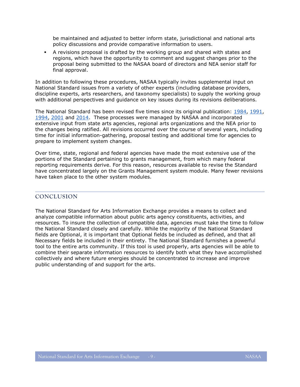be maintained and adjusted to better inform state, jurisdictional and national arts policy discussions and provide comparative information to users.

 A revisions proposal is drafted by the working group and shared with states and regions, which have the opportunity to comment and suggest changes prior to the proposal being submitted to the NASAA board of directors and NEA senior staff for final approval.

In addition to following these procedures, NASAA typically invites supplemental input on National Standard issues from a variety of other experts (including database providers, discipline experts, arts researchers, and taxonomy specialists) to supply the working group with additional perspectives and guidance on key issues during its revisions deliberations.

The National Standard has been revised five times since its original publication: [1984,](http://www.nasaa-arts.org/Research/Planning-and-Accountability/National-Standard-Reference-Center/National-Standard-Reference-Guide-and-Revisions-History/1984NSRevisions&ImplementationManual.pdf) [1991,](http://www.nasaa-arts.org/Research/Planning-and-Accountability/National-Standard-Reference-Center/National-Standard-Reference-Guide-and-Revisions-History/1991NSTechnicalImplementationManual.pdf) [1994,](http://www.nasaa-arts.org/Research/Planning-and-Accountability/National-Standard-Reference-Center/National-Standard-Reference-Guide-and-Revisions-History/1995NSTechnicalImplementationManual.pdf) [2001](http://www.nasaa-arts.org/Research/Planning-and-Accountability/National-Standard-Reference-Center/National-Standard-Reference-Guide-and-Revisions-History/2001NSTechnicalImplementationManual.pdf) and [2014.](http://www.nasaa-arts.org/Research/Planning-and-Accountability/National-Standard-Reference-Center/2014NationalStandardRevisions.pdf) These processes were managed by NASAA and incorporated extensive input from state arts agencies, regional arts organizations and the NEA prior to the changes being ratified. All revisions occurred over the course of several years, including time for initial information-gathering, proposal testing and additional time for agencies to prepare to implement system changes.

Over time, state, regional and federal agencies have made the most extensive use of the portions of the Standard pertaining to grants management, from which many federal reporting requirements derive. For this reason, resources available to revise the Standard have concentrated largely on the Grants Management system module. Many fewer revisions have taken place to the other system modules.

# <span id="page-8-0"></span>**CONCLUSION**

The National Standard for Arts Information Exchange provides a means to collect and analyze compatible information about public arts agency constituents, activities, and resources. To insure the collection of compatible data, agencies must take the time to follow the National Standard closely and carefully. While the majority of the National Standard fields are Optional, it is important that Optional fields be included as defined, and that all Necessary fields be included in their entirety. The National Standard furnishes a powerful tool to the entire arts community. If this tool is used properly, arts agencies will be able to combine their separate information resources to identify both what they have accomplished collectively and where future energies should be concentrated to increase and improve public understanding of and support for the arts.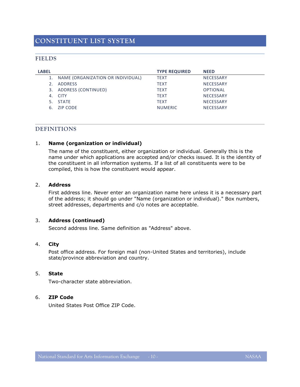# <span id="page-9-1"></span><span id="page-9-0"></span>**FIELDS**

| LABEL |                                      | <b>TYPE REQUIRED</b> | <b>NEED</b>      |
|-------|--------------------------------------|----------------------|------------------|
|       | 1. NAME (ORGANIZATION OR INDIVIDUAL) | <b>TEXT</b>          | <b>NECESSARY</b> |
|       | <b>ADDRESS</b>                       | <b>TEXT</b>          | <b>NECESSARY</b> |
| 3.    | ADDRESS (CONTINUED)                  | <b>TEXT</b>          | <b>OPTIONAL</b>  |
|       | 4. CITY                              | <b>TEXT</b>          | <b>NECESSARY</b> |
|       | 5. STATE                             | <b>TEXT</b>          | <b>NECESSARY</b> |
| 6.    | ZIP CODE                             | <b>NUMERIC</b>       | <b>NECESSARY</b> |
|       |                                      |                      |                  |

# <span id="page-9-2"></span>**DEFINITIONS**

# 1. **Name (organization or individual)**

The name of the constituent, either organization or individual. Generally this is the name under which applications are accepted and/or checks issued. It is the identity of the constituent in all information systems. If a list of all constituents were to be compiled, this is how the constituent would appear.

#### 2. **Address**

First address line. Never enter an organization name here unless it is a necessary part of the address; it should go under "Name (organization or individual)." Box numbers, street addresses, departments and c/o notes are acceptable.

# 3. **Address (continued)**

Second address line. Same definition as "Address" above.

#### 4. **City**

Post office address. For foreign mail (non-United States and territories), include state/province abbreviation and country.

#### 5. **State**

Two-character state abbreviation.

#### 6. **ZIP Code**

United States Post Office ZIP Code.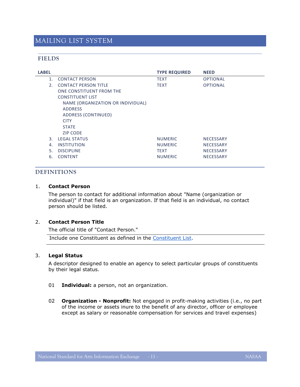# <span id="page-10-0"></span>MAILING LIST SYSTEM

# <span id="page-10-1"></span>**FIELDS**

| <b>LABEL</b> |                |                                   | <b>TYPE REQUIRED</b> | <b>NEED</b>      |
|--------------|----------------|-----------------------------------|----------------------|------------------|
|              | $\mathbf{1}$ . | <b>CONTACT PERSON</b>             | <b>TEXT</b>          | <b>OPTIONAL</b>  |
|              | 2.             | <b>CONTACT PERSON TITLE</b>       | <b>TEXT</b>          | <b>OPTIONAL</b>  |
|              |                | ONE CONSTITUENT FROM THE          |                      |                  |
|              |                | <b>CONSTITUENT LIST</b>           |                      |                  |
|              |                | NAME (ORGANIZATION OR INDIVIDUAL) |                      |                  |
|              |                | <b>ADDRESS</b>                    |                      |                  |
|              |                | ADDRESS (CONTINUED)               |                      |                  |
|              |                | <b>CITY</b>                       |                      |                  |
|              |                | <b>STATE</b>                      |                      |                  |
|              |                | <b>ZIP CODE</b>                   |                      |                  |
|              | 3.             | <b>LEGAL STATUS</b>               | <b>NUMERIC</b>       | <b>NECESSARY</b> |
|              | 4.             | <b>INSTITUTION</b>                | <b>NUMERIC</b>       | <b>NECESSARY</b> |
|              | 5.             | <b>DISCIPLINE</b>                 | <b>TEXT</b>          | <b>NECESSARY</b> |
|              | 6.             | <b>CONTENT</b>                    | <b>NUMERIC</b>       | <b>NECESSARY</b> |
|              |                |                                   |                      |                  |

# <span id="page-10-2"></span>**DEFINITIONS**

### 1. **Contact Person**

The person to contact for additional information about "Name (organization or individual)" if that field is an organization. If that field is an individual, no contact person should be listed.

#### 2. **Contact Person Title**

The official title of "Contact Person."

Include one Constituent as defined in the [Constituent List.](#page-9-0)

#### 3. **Legal Status**

A descriptor designed to enable an agency to select particular groups of constituents by their legal status.

- 01 **Individual:** a person, not an organization.
- 02 **Organization - Nonprofit:** Not engaged in profit-making activities (i.e., no part of the income or assets inure to the benefit of any director, officer or employee except as salary or reasonable compensation for services and travel expenses)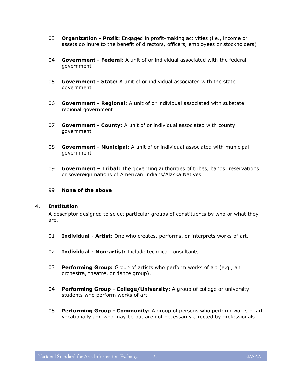- 03 **Organization - Profit:** Engaged in profit-making activities (i.e., income or assets do inure to the benefit of directors, officers, employees or stockholders)
- 04 **Government - Federal:** A unit of or individual associated with the federal government
- 05 **Government - State:** A unit of or individual associated with the state government
- 06 **Government - Regional:** A unit of or individual associated with substate regional government
- 07 **Government - County:** A unit of or individual associated with county government
- 08 **Government - Municipal:** A unit of or individual associated with municipal government
- 09 **Government – Tribal:** The governing authorities of tribes, bands, reservations or sovereign nations of American Indians/Alaska Natives.

#### 99 **None of the above**

#### 4. **Institution**

A descriptor designed to select particular groups of constituents by who or what they are.

- 01 **Individual - Artist:** One who creates, performs, or interprets works of art.
- 02 **Individual - Non-artist:** Include technical consultants.
- 03 **Performing Group:** Group of artists who perform works of art (e.g., an orchestra, theatre, or dance group).
- 04 **Performing Group - College/University:** A group of college or university students who perform works of art.
- 05 **Performing Group - Community:** A group of persons who perform works of art vocationally and who may be but are not necessarily directed by professionals.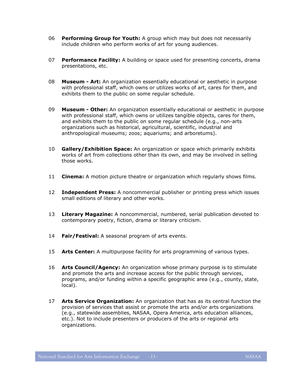- 06 **Performing Group for Youth:** A group which may but does not necessarily include children who perform works of art for young audiences.
- 07 **Performance Facility:** A building or space used for presenting concerts, drama presentations, etc.
- 08 **Museum - Art:** An organization essentially educational or aesthetic in purpose with professional staff, which owns or utilizes works of art, cares for them, and exhibits them to the public on some regular schedule.
- 09 **Museum - Other:** An organization essentially educational or aesthetic in purpose with professional staff, which owns or utilizes tangible objects, cares for them, and exhibits them to the public on some regular schedule (e.g., non-arts organizations such as historical, agricultural, scientific, industrial and anthropological museums; zoos; aquariums; and arboretums).
- 10 **Gallery/Exhibition Space:** An organization or space which primarily exhibits works of art from collections other than its own, and may be involved in selling those works.
- 11 **Cinema:** A motion picture theatre or organization which regularly shows films.
- 12 **Independent Press:** A noncommercial publisher or printing press which issues small editions of literary and other works.
- 13 **Literary Magazine:** A noncommercial, numbered, serial publication devoted to contemporary poetry, fiction, drama or literary criticism.
- 14 **Fair/Festival:** A seasonal program of arts events.
- 15 **Arts Center:** A multipurpose facility for arts programming of various types.
- 16 **Arts Council/Agency:** An organization whose primary purpose is to stimulate and promote the arts and increase access for the public through services, programs, and/or funding within a specific geographic area (e.g., county, state, local).
- 17 **Arts Service Organization:** An organization that has as its central function the provision of services that assist or promote the arts and/or arts organizations (e.g., statewide assemblies, NASAA, Opera America, arts education alliances, etc.). Not to include presenters or producers of the arts or regional arts organizations.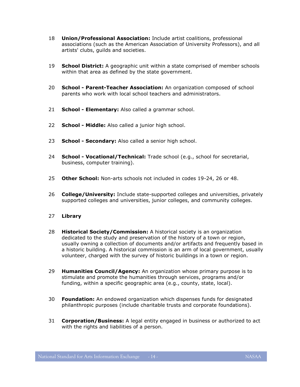- 18 **Union/Professional Association:** Include artist coalitions, professional associations (such as the American Association of University Professors), and all artists' clubs, guilds and societies.
- 19 **School District:** A geographic unit within a state comprised of member schools within that area as defined by the state government.
- 20 **School - Parent-Teacher Association:** An organization composed of school parents who work with local school teachers and administrators.
- 21 **School - Elementary:** Also called a grammar school.
- 22 **School - Middle:** Also called a junior high school.
- 23 **School - Secondary:** Also called a senior high school.
- 24 **School - Vocational/Technical:** Trade school (e.g., school for secretarial, business, computer training).
- 25 **Other School:** Non-arts schools not included in codes 19-24, 26 or 48.
- 26 **College/University:** Include state-supported colleges and universities, privately supported colleges and universities, junior colleges, and community colleges.
- 27 **Library**
- 28 **Historical Society/Commission:** A historical society is an organization dedicated to the study and preservation of the history of a town or region, usually owning a collection of documents and/or artifacts and frequently based in a historic building. A historical commission is an arm of local government, usually volunteer, charged with the survey of historic buildings in a town or region.
- 29 **Humanities Council/Agency:** An organization whose primary purpose is to stimulate and promote the humanities through services, programs and/or funding, within a specific geographic area (e.g., county, state, local).
- 30 **Foundation:** An endowed organization which dispenses funds for designated philanthropic purposes (include charitable trusts and corporate foundations).
- 31 **Corporation/Business:** A legal entity engaged in business or authorized to act with the rights and liabilities of a person.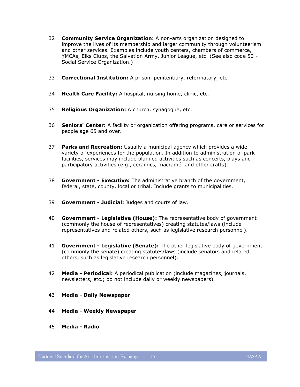- 32 **Community Service Organization:** A non-arts organization designed to improve the lives of its membership and larger community through volunteerism and other services. Examples include youth centers, chambers of commerce, YMCAs, Elks Clubs, the Salvation Army, Junior League, etc. (See also code 50 - Social Service Organization.)
- 33 **Correctional Institution:** A prison, penitentiary, reformatory, etc.
- 34 **Health Care Facility:** A hospital, nursing home, clinic, etc.
- 35 **Religious Organization:** A church, synagogue, etc.
- 36 **Seniors' Center:** A facility or organization offering programs, care or services for people age 65 and over.
- 37 **Parks and Recreation:** Usually a municipal agency which provides a wide variety of experiences for the population. In addition to administration of park facilities, services may include planned activities such as concerts, plays and participatory activities (e.g., ceramics, macramé, and other crafts).
- 38 **Government - Executive:** The administrative branch of the government, federal, state, county, local or tribal. Include grants to municipalities.
- 39 **Government - Judicial:** Judges and courts of law.
- 40 **Government - Legislative (House):** The representative body of government (commonly the house of representatives) creating statutes/laws (include representatives and related others, such as legislative research personnel).
- 41 **Government - Legislative (Senate):** The other legislative body of government (commonly the senate) creating statutes/laws (include senators and related others, such as legislative research personnel).
- 42 **Media - Periodical:** A periodical publication (include magazines, journals, newsletters, etc.; do not include daily or weekly newspapers).
- 43 **Media - Daily Newspaper**
- 44 **Media - Weekly Newspaper**
- 45 **Media - Radio**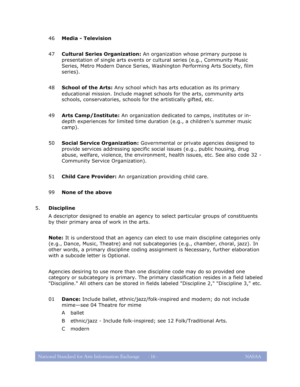#### 46 **Media - Television**

- 47 **Cultural Series Organization:** An organization whose primary purpose is presentation of single arts events or cultural series (e.g., Community Music Series, Metro Modern Dance Series, Washington Performing Arts Society, film series).
- 48 **School of the Arts:** Any school which has arts education as its primary educational mission. Include magnet schools for the arts, community arts schools, conservatories, schools for the artistically gifted, etc.
- 49 **Arts Camp/Institute:** An organization dedicated to camps, institutes or indepth experiences for limited time duration (e.g., a children's summer music camp).
- 50 **Social Service Organization:** Governmental or private agencies designed to provide services addressing specific social issues (e.g., public housing, drug abuse, welfare, violence, the environment, health issues, etc. See also code 32 - Community Service Organization).
- 51 **Child Care Provider:** An organization providing child care.

#### 99 **None of the above**

#### <span id="page-15-0"></span>5. **Discipline**

A descriptor designed to enable an agency to select particular groups of constituents by their primary area of work in the arts.

**Note:** It is understood that an agency can elect to use main discipline categories only (e.g., Dance, Music, Theatre) and not subcategories (e.g., chamber, choral, jazz). In other words, a primary discipline coding assignment is Necessary, further elaboration with a subcode letter is Optional.

Agencies desiring to use more than one discipline code may do so provided one category or subcategory is primary. The primary classification resides in a field labeled "Discipline." All others can be stored in fields labeled "Discipline 2," "Discipline 3," etc.

- 01 **Dance:** Include ballet, ethnic/jazz/folk-inspired and modern; do not include mime—see 04 Theatre for mime
	- A ballet
	- B ethnic/jazz Include folk-inspired; see 12 Folk/Traditional Arts.
	- C modern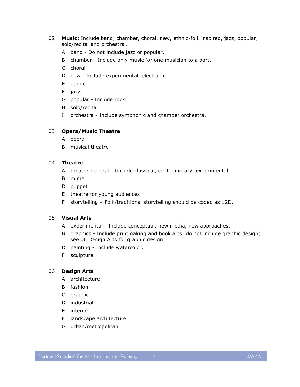- 02 **Music:** Include band, chamber, choral, new, ethnic-folk inspired, jazz, popular, solo/recital and orchestral.
	- A band Do not include jazz or popular.
	- B chamber Include only music for one musician to a part.
	- C choral
	- D new Include experimental, electronic.
	- E ethnic
	- F jazz
	- G popular Include rock.
	- H solo/recital
	- I orchestra Include symphonic and chamber orchestra.

#### 03 **Opera/Music Theatre**

- A opera
- B musical theatre

# 04 **Theatre**

- A theatre-general Include classical, contemporary, experimental.
- B mime
- D puppet
- E theatre for young audiences
- F storytelling Folk/traditional storytelling should be coded as 12D.

#### 05 **Visual Arts**

- A experimental Include conceptual, new media, new approaches.
- B graphics Include printmaking and book arts; do not include graphic design; see 06 Design Arts for graphic design.
- D painting Include watercolor.
- F sculpture

# 06 **Design Arts**

- A architecture
- B fashion
- C graphic
- D industrial
- E interior
- F landscape architecture
- G urban/metropolitan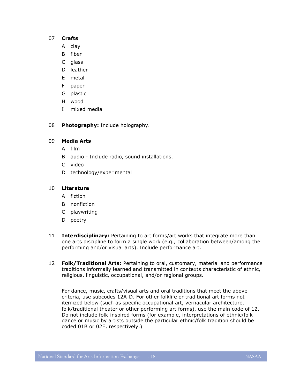#### 07 **Crafts**

- A clay
- B fiber
- C glass
- D leather
- E metal
- F paper
- G plastic
- H wood
- I mixed media

08 **Photography:** Include holography.

# 09 **Media Arts**

- A film
- B audio Include radio, sound installations.
- C video
- D technology/experimental

# 10 **Literature**

- A fiction
- B nonfiction
- C playwriting
- D poetry
- 11 **Interdisciplinary:** Pertaining to art forms/art works that integrate more than one arts discipline to form a single work (e.g., collaboration between/among the performing and/or visual arts). Include performance art.
- 12 **Folk/Traditional Arts:** Pertaining to oral, customary, material and performance traditions informally learned and transmitted in contexts characteristic of ethnic, religious, linguistic, occupational, and/or regional groups.

For dance, music, crafts/visual arts and oral traditions that meet the above criteria, use subcodes 12A-D. For other folklife or traditional art forms not itemized below (such as specific occupational art, vernacular architecture, folk/traditional theater or other performing art forms), use the main code of 12. Do not include folk-inspired forms (for example, interpretations of ethnic/folk dance or music by artists outside the particular ethnic/folk tradition should be coded 01B or 02E, respectively.)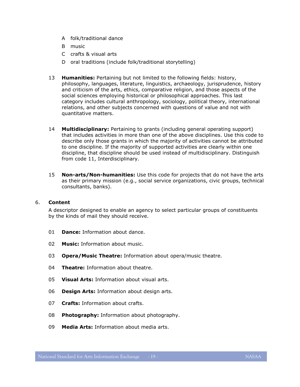- A folk/traditional dance
- B music
- C crafts & visual arts
- D oral traditions (include folk/traditional storytelling)
- 13 **Humanities:** Pertaining but not limited to the following fields: history, philosophy, languages, literature, linguistics, archaeology, jurisprudence, history and criticism of the arts, ethics, comparative religion, and those aspects of the social sciences employing historical or philosophical approaches. This last category includes cultural anthropology, sociology, political theory, international relations, and other subjects concerned with questions of value and not with quantitative matters.
- 14 **Multidisciplinary:** Pertaining to grants (including general operating support) that includes activities in more than one of the above disciplines. Use this code to describe only those grants in which the majority of activities cannot be attributed to one discipline. If the majority of supported activities are clearly within one discipline, that discipline should be used instead of multidisciplinary. Distinguish from code 11, Interdisciplinary.
- 15 **Non-arts/Non-humanities:** Use this code for projects that do not have the arts as their primary mission (e.g., social service organizations, civic groups, technical consultants, banks).

#### 6. **Content**

A descriptor designed to enable an agency to select particular groups of constituents by the kinds of mail they should receive.

- 01 **Dance:** Information about dance.
- 02 **Music:** Information about music.
- 03 **Opera/Music Theatre:** Information about opera/music theatre.
- 04 **Theatre:** Information about theatre.
- 05 **Visual Arts:** Information about visual arts.
- 06 **Design Arts:** Information about design arts.
- 07 **Crafts:** Information about crafts.
- 08 **Photography:** Information about photography.
- 09 **Media Arts:** Information about media arts.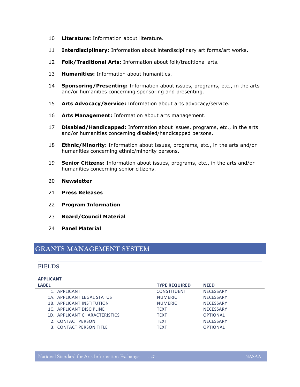- 10 **Literature:** Information about literature.
- 11 **Interdisciplinary:** Information about interdisciplinary art forms/art works.
- 12 **Folk/Traditional Arts:** Information about folk/traditional arts.
- 13 **Humanities:** Information about humanities.
- 14 **Sponsoring/Presenting:** Information about issues, programs, etc., in the arts and/or humanities concerning sponsoring and presenting.
- 15 **Arts Advocacy/Service:** Information about arts advocacy/service.
- 16 **Arts Management:** Information about arts management.
- 17 **Disabled/Handicapped:** Information about issues, programs, etc., in the arts and/or humanities concerning disabled/handicapped persons.
- 18 **Ethnic/Minority:** Information about issues, programs, etc., in the arts and/or humanities concerning ethnic/minority persons.
- 19 **Senior Citizens:** Information about issues, programs, etc., in the arts and/or humanities concerning senior citizens.
- 20 **Newsletter**
- 21 **Press Releases**
- 22 **Program Information**
- 23 **Board/Council Material**
- 24 **Panel Material**

# <span id="page-19-1"></span><span id="page-19-0"></span>**GRANTS MANAGEMENT SYSTEM**

# **FIELDS**

#### **APPLICANT**

| <b>TYPE REQUIRED</b> | <b>NEED</b>      |
|----------------------|------------------|
| <b>CONSTITUENT</b>   | <b>NECESSARY</b> |
| <b>NUMERIC</b>       | <b>NECESSARY</b> |
| <b>NUMERIC</b>       | <b>NECESSARY</b> |
| <b>TEXT</b>          | <b>NECESSARY</b> |
| <b>TEXT</b>          | <b>OPTIONAL</b>  |
| <b>TEXT</b>          | <b>NECESSARY</b> |
| <b>TEXT</b>          | <b>OPTIONAL</b>  |
|                      |                  |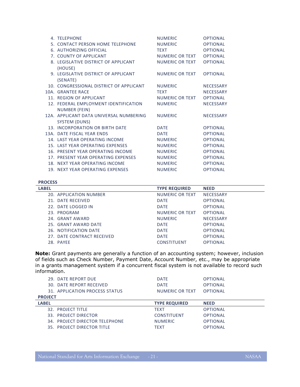| 4. TELEPHONE                                             | <b>NUMERIC</b>  | <b>OPTIONAL</b>  |
|----------------------------------------------------------|-----------------|------------------|
| 5. CONTACT PERSON HOME TELEPHONE                         | <b>NUMERIC</b>  | <b>OPTIONAL</b>  |
| 6. AUTHORIZING OFFICIAL                                  | <b>TEXT</b>     | <b>OPTIONAL</b>  |
| 7. COUNTY OF APPLICANT                                   | NUMERIC OR TEXT | <b>OPTIONAL</b>  |
| 8. LEGISLATIVE DISTRICT OF APPLICANT<br>(HOUSE)          | NUMERIC OR TEXT | <b>OPTIONAL</b>  |
| 9. LEGISLATIVE DISTRICT OF APPLICANT<br>(SENATE)         | NUMERIC OR TEXT | <b>OPTIONAL</b>  |
| 10. CONGRESSIONAL DISTRICT OF APPLICANT                  | <b>NUMERIC</b>  | <b>NECESSARY</b> |
| 10A. GRANTEE RACE                                        | <b>TEXT</b>     | <b>NECESSARY</b> |
| 11. REGION OF APPLICANT                                  | NUMERIC OR TEXT | <b>OPTIONAL</b>  |
| 12. FEDERAL EMPLOYMENT IDENTIFICATION                    | <b>NUMERIC</b>  | <b>NECESSARY</b> |
| NUMBER (FEIN)                                            |                 |                  |
| 12A. APPLICANT DATA UNIVERSAL NUMBERING<br>SYSTEM (DUNS) | <b>NUMERIC</b>  | <b>NECESSARY</b> |
| 13. INCORPORATION OR BIRTH DATE                          | <b>DATE</b>     | <b>OPTIONAL</b>  |
| 13A. DATE FISCAL YEAR ENDS                               | <b>DATE</b>     | <b>OPTIONAL</b>  |
| 14. LAST YEAR OPERATING INCOME                           | <b>NUMERIC</b>  | <b>OPTIONAL</b>  |
| 15. LAST YEAR OPERATING EXPENSES                         | <b>NUMERIC</b>  | <b>OPTIONAL</b>  |
| 16. PRESENT YEAR OPERATING INCOME                        | <b>NUMERIC</b>  | <b>OPTIONAL</b>  |
| 17. PRESENT YEAR OPERATING EXPENSES                      | <b>NUMERIC</b>  | <b>OPTIONAL</b>  |
| 18. NEXT YEAR OPERATING INCOME                           | <b>NUMERIC</b>  | <b>OPTIONAL</b>  |
| 19. NEXT YEAR OPERATING EXPENSES                         | <b>NUMERIC</b>  | <b>OPTIONAL</b>  |
|                                                          |                 |                  |

#### **PROCESS**

| <b>LABEL</b>               | <b>TYPE REQUIRED</b> | <b>NEED</b>      |
|----------------------------|----------------------|------------------|
| 20. APPLICATION NUMBER     | NUMERIC OR TEXT      | <b>NECESSARY</b> |
| 21. DATE RECEIVED          | <b>DATE</b>          | <b>OPTIONAL</b>  |
| 22. DATE LOGGED IN         | <b>DATE</b>          | <b>OPTIONAL</b>  |
| 23. PROGRAM                | NUMERIC OR TEXT      | <b>OPTIONAL</b>  |
| 24. GRANT AWARD            | <b>NUMERIC</b>       | <b>NECESSARY</b> |
| 25. GRANT AWARD DATE       | <b>DATE</b>          | <b>OPTIONAL</b>  |
| 26. NOTIFICATION DATE      | <b>DATE</b>          | <b>OPTIONAL</b>  |
| 27. DATE CONTRACT RECEIVED | <b>DATE</b>          | <b>OPTIONAL</b>  |
| 28. PAYEE                  | <b>CONSTITUENT</b>   | <b>OPTIONAL</b>  |

**Note:** Grant payments are generally a function of an accounting system; however, inclusion of fields such as Check Number, Payment Date, Account Number, etc., may be appropriate in a grants management system if a concurrent fiscal system is not available to record such information.

| <b>DATE</b>                                       | <b>OPTIONAL</b> |
|---------------------------------------------------|-----------------|
| <b>DATE</b>                                       | <b>OPTIONAL</b> |
| 31. APPLICATION PROCESS STATUS<br>NUMERIC OR TEXT | <b>OPTIONAL</b> |
|                                                   |                 |
| <b>TYPE REQUIRED</b>                              | <b>NEED</b>     |
| <b>TFXT</b>                                       | <b>OPTIONAL</b> |
| <b>CONSTITUENT</b>                                | <b>OPTIONAL</b> |
| 34. PROJECT DIRECTOR TELEPHONE<br><b>NUMERIC</b>  | <b>OPTIONAL</b> |
| 35. PROJECT DIRECTOR TITLE<br><b>TFXT</b>         | <b>OPTIONAL</b> |
|                                                   |                 |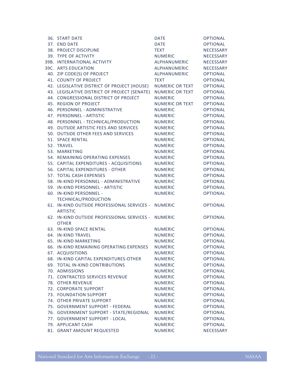| 36. START DATE                                      | <b>DATE</b>            | OPTIONAL         |
|-----------------------------------------------------|------------------------|------------------|
| 37. END DATE                                        | <b>DATE</b>            | OPTIONAL         |
| 38. PROJECT DISCIPLINE                              | <b>TEXT</b>            | NECESSARY        |
| 39. TYPE OF ACTIVITY                                | <b>NUMERIC</b>         | NECESSARY        |
| 39B. INTERNATIONAL ACTIVITY                         | ALPHANUMERIC           | <b>NECESSARY</b> |
| 39C. ARTS EDUCATION                                 | ALPHANUMERIC           | <b>NECESSARY</b> |
| 40. ZIP CODE(S) OF PROJECT                          | ALPHANUMERIC           | OPTIONAL         |
| 41. COUNTY OF PROJECT                               | TEXT                   | <b>OPTIONAL</b>  |
| 42. LEGISLATIVE DISTRICT OF PROJECT (HOUSE)         | <b>NUMERIC OR TEXT</b> | <b>OPTIONAL</b>  |
| 43. LEGISLATIVE DISTRICT OF PROJECT (SENATE)        | <b>NUMERIC OR TEXT</b> | <b>OPTIONAL</b>  |
| 44. CONGRESSIONAL DISTRICT OF PROJECT               | <b>NUMERIC</b>         | <b>OPTIONAL</b>  |
| 45. REGION OF PROJECT                               | <b>NUMERIC OR TEXT</b> | <b>OPTIONAL</b>  |
| 46. PERSONNEL - ADMINISTRATIVE                      | <b>NUMERIC</b>         | <b>OPTIONAL</b>  |
| 47. PERSONNEL - ARTISTIC                            | <b>NUMERIC</b>         | <b>OPTIONAL</b>  |
| 48. PERSONNEL - TECHNICAL/PRODUCTION                | <b>NUMERIC</b>         | <b>OPTIONAL</b>  |
| 49. OUTSIDE ARTISTIC FEES AND SERVICES              | <b>NUMERIC</b>         | <b>OPTIONAL</b>  |
| 50. OUTSIDE OTHER FEES AND SERVICES                 | <b>NUMERIC</b>         | <b>OPTIONAL</b>  |
| 51. SPACE RENTAL                                    | <b>NUMERIC</b>         | <b>OPTIONAL</b>  |
| 52. TRAVEL                                          | <b>NUMERIC</b>         | <b>OPTIONAL</b>  |
| 53. MARKETING                                       | <b>NUMERIC</b>         | <b>OPTIONAL</b>  |
| 54. REMAINING OPERATING EXPENSES                    | <b>NUMERIC</b>         | <b>OPTIONAL</b>  |
| 55. CAPITAL EXPENDITURES - ACQUISITIONS             | <b>NUMERIC</b>         | <b>OPTIONAL</b>  |
| 56. CAPITAL EXPENDITURES - OTHER                    | <b>NUMERIC</b>         | <b>OPTIONAL</b>  |
| 57. TOTAL CASH EXPENSES                             | <b>NUMERIC</b>         | <b>OPTIONAL</b>  |
| 58. IN-KIND PERSONNEL - ADMINISTRATIVE              | <b>NUMERIC</b>         | <b>OPTIONAL</b>  |
| 59. IN-KIND PERSONNEL - ARTISTIC                    | <b>NUMERIC</b>         | <b>OPTIONAL</b>  |
| 60. IN-KIND PERSONNEL -                             | <b>NUMERIC</b>         | <b>OPTIONAL</b>  |
| TECHNICAL/PRODUCTION                                |                        |                  |
| 61. IN-KIND OUTSIDE PROFESSIONAL SERVICES - NUMERIC |                        | <b>OPTIONAL</b>  |
| <b>ARTISTIC</b>                                     |                        |                  |
| 62. IN-KIND OUTSIDE PROFESSIONAL SERVICES - NUMERIC |                        | <b>OPTIONAL</b>  |
| <b>OTHER</b>                                        |                        |                  |
| 63. IN-KIND SPACE RENTAL                            | <b>NUMERIC</b>         | <b>OPTIONAL</b>  |
| 64. IN-KIND TRAVEL                                  | <b>NUMERIC</b>         | <b>OPTIONAL</b>  |
| 65. IN-KIND MARKETING                               | <b>NUMERIC</b>         | <b>OPTIONAL</b>  |
| 66. IN-KIND REMAINING OPERATING EXPENSES            | <b>NUMERIC</b>         | <b>OPTIONAL</b>  |
| 67. ACQUISITIONS                                    | <b>NUMERIC</b>         | <b>OPTIONAL</b>  |
| 68. IN-KIND CAPITAL EXPENDITURES-OTHER              | <b>NUMERIC</b>         | <b>OPTIONAL</b>  |
| 69. TOTAL IN-KIND CONTRIBUTIONS                     | <b>NUMERIC</b>         | <b>OPTIONAL</b>  |
| 70. ADMISSIONS                                      | <b>NUMERIC</b>         | <b>OPTIONAL</b>  |
| 71. CONTRACTED SERVICES REVENUE                     | <b>NUMERIC</b>         | <b>OPTIONAL</b>  |
| 78. OTHER REVENUE                                   | <b>NUMERIC</b>         | <b>OPTIONAL</b>  |
| 72. CORPORATE SUPPORT                               | <b>NUMERIC</b>         | <b>OPTIONAL</b>  |
| 73. FOUNDATION SUPPORT                              | <b>NUMERIC</b>         | <b>OPTIONAL</b>  |
| 74. OTHER PRIVATE SUPPORT                           | <b>NUMERIC</b>         | <b>OPTIONAL</b>  |
| 75. GOVERNMENT SUPPORT - FEDERAL                    | <b>NUMERIC</b>         | <b>OPTIONAL</b>  |
| 76. GOVERNMENT SUPPORT - STATE/REGIONAL             | <b>NUMERIC</b>         | <b>OPTIONAL</b>  |
| 77. GOVERNMENT SUPPORT - LOCAL                      | <b>NUMERIC</b>         | <b>OPTIONAL</b>  |
| 79. APPLICANT CASH                                  | <b>NUMERIC</b>         | <b>OPTIONAL</b>  |
| 81. GRANT AMOUNT REQUESTED                          | <b>NUMERIC</b>         | NECESSARY        |
|                                                     |                        |                  |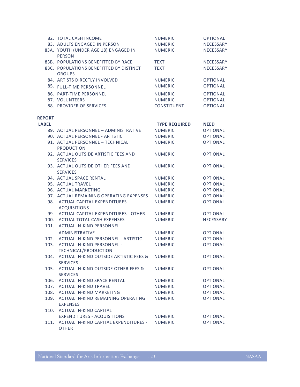| 82. TOTAL CASH INCOME                   | <b>NUMERIC</b>     | <b>OPTIONAL</b>  |
|-----------------------------------------|--------------------|------------------|
| 83. ADULTS ENGAGED IN PERSON            | <b>NUMERIC</b>     | <b>NECESSARY</b> |
| 83A. YOUTH (UNDER AGE 18) ENGAGED IN    | <b>NUMERIC</b>     | <b>NECESSARY</b> |
| <b>PERSON</b>                           |                    |                  |
| 83B. POPULATIONS BENEFITTED BY RACE     | <b>TEXT</b>        | <b>NECESSARY</b> |
| 83C. POPULATIONS BENEFITTED BY DISTINCT | <b>TEXT</b>        | <b>NECESSARY</b> |
| <b>GROUPS</b>                           |                    |                  |
| 84. ARTISTS DIRECTLY INVOLVED           | <b>NUMERIC</b>     | <b>OPTIONAL</b>  |
| 85. FULL-TIME PERSONNEL                 | <b>NUMERIC</b>     | <b>OPTIONAL</b>  |
| 86. PART-TIME PERSONNEL                 | <b>NUMERIC</b>     | <b>OPTIONAL</b>  |
| 87. VOLUNTEERS                          | <b>NUMERIC</b>     | <b>OPTIONAL</b>  |
| 88. PROVIDER OF SERVICES                | <b>CONSTITUENT</b> | <b>OPTIONAL</b>  |

#### **REPORT**

| <b>LABEL</b> |                                                    | <b>TYPE REQUIRED</b> | <b>NEED</b>     |
|--------------|----------------------------------------------------|----------------------|-----------------|
|              | 89. ACTUAL PERSONNEL - ADMINISTRATIVE              | <b>NUMERIC</b>       | <b>OPTIONAL</b> |
|              | 90. ACTUAL PERSONNEL - ARTISTIC                    | NUMERIC              | <b>OPTIONAL</b> |
|              | 91. ACTUAL PERSONNEL - TECHNICAL                   | <b>NUMERIC</b>       | <b>OPTIONAL</b> |
|              | <b>PRODUCTION</b>                                  |                      |                 |
|              | 92. ACTUAL OUTSIDE ARTISTIC FEES AND               | <b>NUMERIC</b>       | <b>OPTIONAL</b> |
|              | <b>SERVICES</b>                                    |                      |                 |
|              | 93. ACTUAL OUTSIDE OTHER FEES AND                  | <b>NUMERIC</b>       | <b>OPTIONAL</b> |
|              | <b>SERVICES</b>                                    |                      |                 |
|              | 94. ACTUAL SPACE RENTAL                            | <b>NUMERIC</b>       | <b>OPTIONAL</b> |
|              | 95. ACTUAL TRAVEL                                  | <b>NUMERIC</b>       | <b>OPTIONAL</b> |
|              | 96. ACTUAL MARKETING                               | <b>NUMERIC</b>       | <b>OPTIONAL</b> |
|              | 97. ACTUAL REMAINING OPERATING EXPENSES            | <b>NUMERIC</b>       | <b>OPTIONAL</b> |
|              | 98. ACTUAL CAPITAL EXPENDITURES -                  | <b>NUMERIC</b>       | <b>OPTIONAL</b> |
|              | <b>ACQUISITIONS</b>                                |                      |                 |
|              | 99. ACTUAL CAPITAL EXPENDITURES - OTHER            | NUMERIC              | <b>OPTIONAL</b> |
|              | 100. ACTUAL TOTAL CASH EXPENSES                    | <b>NUMERIC</b>       | NECESSARY       |
|              | 101. ACTUAL IN-KIND PERSONNEL -                    |                      |                 |
|              | <b>ADMINISTRATIVE</b>                              | <b>NUMERIC</b>       | <b>OPTIONAL</b> |
|              | 102. ACTUAL IN-KIND PERSONNEL - ARTISTIC           | <b>NUMERIC</b>       | <b>OPTIONAL</b> |
|              | 103. ACTUAL IN-KIND PERSONNEL -                    | <b>NUMERIC</b>       | <b>OPTIONAL</b> |
|              | TECHNICAL/PRODUCTION                               |                      |                 |
|              | 104. ACTUAL IN-KIND OUTSIDE ARTISTIC FEES &        | <b>NUMERIC</b>       | <b>OPTIONAL</b> |
|              | <b>SERVICES</b>                                    |                      |                 |
|              | 105. ACTUAL IN-KIND OUTSIDE OTHER FEES &           | <b>NUMERIC</b>       | <b>OPTIONAL</b> |
|              | <b>SERVICES</b>                                    |                      |                 |
|              | 106. ACTUAL IN-KIND SPACE RENTAL                   | <b>NUMERIC</b>       | <b>OPTIONAL</b> |
|              | 107. ACTUAL IN-KIND TRAVEL                         | <b>NUMERIC</b>       | <b>OPTIONAL</b> |
|              | 108. ACTUAL IN-KIND MARKETING                      | <b>NUMERIC</b>       | <b>OPTIONAL</b> |
|              | 109. ACTUAL IN-KIND REMAINING OPERATING            | <b>NUMERIC</b>       | <b>OPTIONAL</b> |
|              | <b>EXPENSES</b>                                    |                      |                 |
|              | 110. ACTUAL IN-KIND CAPITAL                        |                      |                 |
|              | EXPENDITURES - ACQUISITIONS                        | <b>NUMERIC</b>       | <b>OPTIONAL</b> |
|              | 111. ACTUAL IN-KIND CAPITAL EXPENDITURES - NUMERIC |                      | <b>OPTIONAL</b> |
|              | <b>OTHER</b>                                       |                      |                 |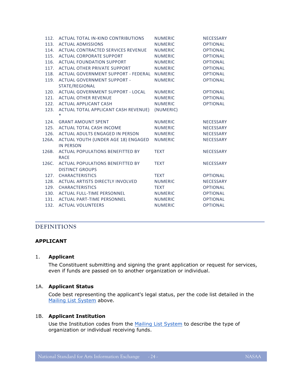| 112.  | ACTUAL TOTAL IN-KIND CONTRIBUTIONS        | <b>NUMERIC</b> | NECESSARY        |
|-------|-------------------------------------------|----------------|------------------|
|       | 113. ACTUAL ADMISSIONS                    | <b>NUMERIC</b> | <b>OPTIONAL</b>  |
| 114.  | ACTUAL CONTRACTED SERVICES REVENUE        | <b>NUMERIC</b> | <b>OPTIONAL</b>  |
| 115.  | ACTUAL CORPORATE SUPPORT                  | <b>NUMERIC</b> | <b>OPTIONAL</b>  |
| 116.  | ACTUAL FOUNDATION SUPPORT                 | <b>NUMERIC</b> | <b>OPTIONAL</b>  |
|       | 117. ACTUAL OTHER PRIVATE SUPPORT         | <b>NUMERIC</b> | <b>OPTIONAL</b>  |
| 118.  | ACTUAL GOVERNMENT SUPPORT - FEDERAL       | <b>NUMERIC</b> | <b>OPTIONAL</b>  |
| 119.  | <b>ACTUAL GOVERNMENT SUPPORT -</b>        | <b>NUMERIC</b> | <b>OPTIONAL</b>  |
|       | STATE/REGIONAL                            |                |                  |
| 120.  | ACTUAL GOVERNMENT SUPPORT - LOCAL         | <b>NUMERIC</b> | <b>OPTIONAL</b>  |
|       | 121. ACTUAL OTHER REVENUE                 | <b>NUMERIC</b> | <b>OPTIONAL</b>  |
|       | 122. ACTUAL APPLICANT CASH                | <b>NUMERIC</b> | <b>OPTIONAL</b>  |
|       | 123. ACTUAL TOTAL APPLICANT CASH REVENUE) | (NUMERIC)      |                  |
|       | $\ast$                                    |                |                  |
| 124.  | <b>GRANT AMOUNT SPENT</b>                 | <b>NUMERIC</b> | NECESSARY        |
|       | 125. ACTUAL TOTAL CASH INCOME             | <b>NUMERIC</b> | <b>NECESSARY</b> |
| 126.  | ACTUAL ADULTS ENGAGED IN PERSON           | <b>NUMERIC</b> | NECESSARY        |
| 126A. | ACTUAL YOUTH (UNDER AGE 18) ENGAGED       | <b>NUMERIC</b> | <b>NECESSARY</b> |
|       | <b>IN PERSON</b>                          |                |                  |
| 126B. | <b>ACTUAL POPULATIONS BENEFITTED BY</b>   | <b>TEXT</b>    | NECESSARY        |
|       | <b>RACE</b>                               |                |                  |
| 126C. | <b>ACTUAL POPULATIONS BENEFITTED BY</b>   | <b>TEXT</b>    | <b>NECESSARY</b> |
|       | <b>DISTINCT GROUPS</b>                    |                |                  |
|       | 127. CHARACTERISTICS                      | <b>TEXT</b>    | <b>OPTIONAL</b>  |
|       | 128. ACTUAL ARTISTS DIRECTLY INVOLVED     | <b>NUMERIC</b> | NECESSARY        |
|       | 129. CHARACTERISTICS                      | <b>TEXT</b>    | <b>OPTIONAL</b>  |
| 130.  | ACTUAL FULL-TIME PERSONNEL                | <b>NUMERIC</b> | <b>OPTIONAL</b>  |
|       | 131. ACTUAL PART-TIME PERSONNEL           | <b>NUMERIC</b> | <b>OPTIONAL</b>  |
| 132.  | <b>ACTUAL VOLUNTEERS</b>                  | <b>NUMERIC</b> | <b>OPTIONAL</b>  |

# <span id="page-23-0"></span>**DEFINITIONS**

#### **APPLICANT**

#### 1. **Applicant**

The Constituent submitting and signing the grant application or request for services, even if funds are passed on to another organization or individual.

#### 1A. **Applicant Status**

Code best representing the applicant's legal status, per the code list detailed in the [Mailing List System](#page-10-2) above.

#### 1B. **Applicant Institution**

Use the Institution codes from the [Mailing List System](#page-10-2) to describe the type of organization or individual receiving funds.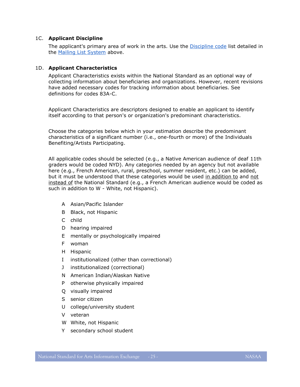#### 1C. **Applicant Discipline**

The applicant's primary area of work in the arts. Use the [Discipline code](#page-15-0) list detailed in the [Mailing List System](#page-10-2) above.

#### <span id="page-24-0"></span>1D. **Applicant Characteristics**

Applicant Characteristics exists within the National Standard as an optional way of collecting information about beneficiaries and organizations. However, recent revisions have added necessary codes for tracking information about beneficiaries. See definitions for codes 83A-C.

Applicant Characteristics are descriptors designed to enable an applicant to identify itself according to that person's or organization's predominant characteristics.

Choose the categories below which in your estimation describe the predominant characteristics of a significant number (i.e., one-fourth or more) of the Individuals Benefiting/Artists Participating.

All applicable codes should be selected (e.g., a Native American audience of deaf 11th graders would be coded NYD). Any categories needed by an agency but not available here (e.g., French American, rural, preschool, summer resident, etc.) can be added, but it must be understood that these categories would be used in addition to and not instead of the National Standard (e.g., a French American audience would be coded as such in addition to W - White, not Hispanic).

- A Asian/Pacific Islander
- B Black, not Hispanic
- C child
- D hearing impaired
- E mentally or psychologically impaired
- F woman
- H Hispanic
- I institutionalized (other than correctional)
- J institutionalized (correctional)
- N American Indian/Alaskan Native
- P otherwise physically impaired
- Q visually impaired
- S senior citizen
- U college/university student
- V veteran
- W White, not Hispanic
- Y secondary school student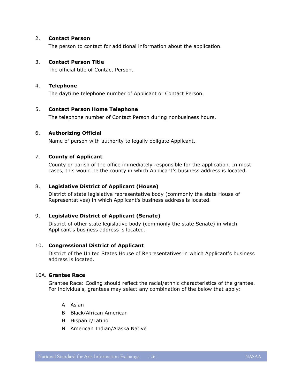#### 2. **Contact Person**

The person to contact for additional information about the application.

#### 3. **Contact Person Title**

The official title of Contact Person.

#### 4. **Telephone**

The daytime telephone number of Applicant or Contact Person.

#### 5. **Contact Person Home Telephone**

The telephone number of Contact Person during nonbusiness hours.

#### 6. **Authorizing Official**

Name of person with authority to legally obligate Applicant.

#### 7. **County of Applicant**

County or parish of the office immediately responsible for the application. In most cases, this would be the county in which Applicant's business address is located.

#### 8. **Legislative District of Applicant (House)**

District of state legislative representative body (commonly the state House of Representatives) in which Applicant's business address is located.

#### 9. **Legislative District of Applicant (Senate)**

District of other state legislative body (commonly the state Senate) in which Applicant's business address is located.

#### 10. **Congressional District of Applicant**

District of the United States House of Representatives in which Applicant's business address is located.

#### 10A. **Grantee Race**

Grantee Race: Coding should reflect the racial/ethnic characteristics of the grantee. For individuals, grantees may select any combination of the below that apply:

- A Asian
- B Black/African American
- H Hispanic/Latino
- N American Indian/Alaska Native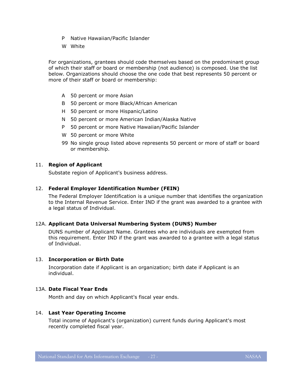- P Native Hawaiian/Pacific Islander
- W White

For organizations, grantees should code themselves based on the predominant group of which their staff or board or membership (not audience) is composed. Use the list below. Organizations should choose the one code that best represents 50 percent or more of their staff or board or membership:

- A 50 percent or more Asian
- B 50 percent or more Black/African American
- H 50 percent or more Hispanic/Latino
- N 50 percent or more American Indian/Alaska Native
- P 50 percent or more Native Hawaiian/Pacific Islander
- W 50 percent or more White
- 99 No single group listed above represents 50 percent or more of staff or board or membership.

#### 11. **Region of Applicant**

Substate region of Applicant's business address.

#### 12. **Federal Employer Identification Number (FEIN)**

The Federal Employer Identification is a unique number that identifies the organization to the Internal Revenue Service. Enter IND if the grant was awarded to a grantee with a legal status of Individual.

#### 12A. **Applicant Data Universal Numbering System (DUNS) Number**

DUNS number of Applicant Name. Grantees who are individuals are exempted from this requirement. Enter IND if the grant was awarded to a grantee with a legal status of Individual.

#### 13. **Incorporation or Birth Date**

Incorporation date if Applicant is an organization; birth date if Applicant is an individual.

#### 13A. **Date Fiscal Year Ends**

Month and day on which Applicant's fiscal year ends.

#### 14. **Last Year Operating Income**

Total income of Applicant's (organization) current funds during Applicant's most recently completed fiscal year.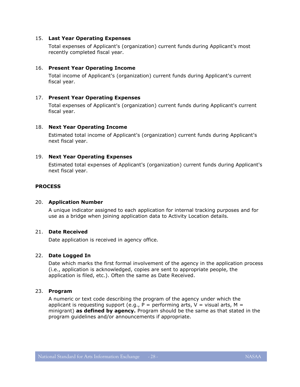#### 15. **Last Year Operating Expenses**

Total expenses of Applicant's (organization) current funds during Applicant's most recently completed fiscal year.

#### 16. **Present Year Operating Income**

Total income of Applicant's (organization) current funds during Applicant's current fiscal year.

#### 17. **Present Year Operating Expenses**

Total expenses of Applicant's (organization) current funds during Applicant's current fiscal year.

#### 18. **Next Year Operating Income**

Estimated total income of Applicant's (organization) current funds during Applicant's next fiscal year.

#### 19. **Next Year Operating Expenses**

Estimated total expenses of Applicant's (organization) current funds during Applicant's next fiscal year.

#### **PROCESS**

#### 20. **Application Number**

A unique indicator assigned to each application for internal tracking purposes and for use as a bridge when joining application data to Activity Location details.

# 21. **Date Received**

Date application is received in agency office.

#### 22. **Date Logged In**

Date which marks the first formal involvement of the agency in the application process (i.e., application is acknowledged, copies are sent to appropriate people, the application is filed, etc.). Often the same as Date Received.

#### 23. **Program**

A numeric or text code describing the program of the agency under which the applicant is requesting support (e.g.,  $P =$  performing arts,  $V =$  visual arts,  $M =$ minigrant) **as defined by agency.** Program should be the same as that stated in the program guidelines and/or announcements if appropriate.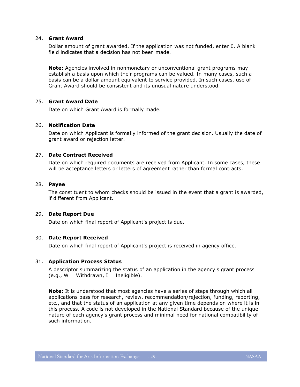#### 24. **Grant Award**

Dollar amount of grant awarded. If the application was not funded, enter 0. A blank field indicates that a decision has not been made.

**Note:** Agencies involved in nonmonetary or unconventional grant programs may establish a basis upon which their programs can be valued. In many cases, such a basis can be a dollar amount equivalent to service provided. In such cases, use of Grant Award should be consistent and its unusual nature understood.

#### 25. **Grant Award Date**

Date on which Grant Award is formally made.

#### 26. **Notification Date**

Date on which Applicant is formally informed of the grant decision. Usually the date of grant award or rejection letter.

#### 27. **Date Contract Received**

Date on which required documents are received from Applicant. In some cases, these will be acceptance letters or letters of agreement rather than formal contracts.

#### 28. **Payee**

The constituent to whom checks should be issued in the event that a grant is awarded, if different from Applicant.

#### 29. **Date Report Due**

Date on which final report of Applicant's project is due.

#### 30. **Date Report Received**

Date on which final report of Applicant's project is received in agency office.

#### 31. **Application Process Status**

A descriptor summarizing the status of an application in the agency's grant process  $(e.q., W = Withoutman, I = Ineligible).$ 

**Note:** It is understood that most agencies have a series of steps through which all applications pass for research, review, recommendation/rejection, funding, reporting, etc., and that the status of an application at any given time depends on where it is in this process. A code is not developed in the National Standard because of the unique nature of each agency's grant process and minimal need for national compatibility of such information.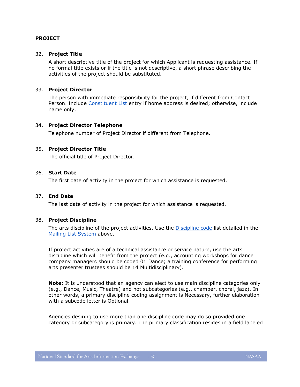#### **PROJECT**

#### 32. **Project Title**

A short descriptive title of the project for which Applicant is requesting assistance. If no formal title exists or if the title is not descriptive, a short phrase describing the activities of the project should be substituted.

#### 33. **Project Director**

The person with immediate responsibility for the project, if different from Contact Person. Include [Constituent List](#page-9-0) entry if home address is desired; otherwise, include name only.

#### 34. **Project Director Telephone**

Telephone number of Project Director if different from Telephone.

#### 35. **Project Director Title**

The official title of Project Director.

# 36. **Start Date**

The first date of activity in the project for which assistance is requested.

#### 37. **End Date**

The last date of activity in the project for which assistance is requested.

#### 38. **Project Discipline**

The arts discipline of the project activities. Use the [Discipline code](#page-15-0) list detailed in the [Mailing List System](#page-10-2) above.

If project activities are of a technical assistance or service nature, use the arts discipline which will benefit from the project (e.g., accounting workshops for dance company managers should be coded 01 Dance; a training conference for performing arts presenter trustees should be 14 Multidisciplinary).

**Note:** It is understood that an agency can elect to use main discipline categories only (e.g., Dance, Music, Theatre) and not subcategories (e.g., chamber, choral, jazz). In other words, a primary discipline coding assignment is Necessary, further elaboration with a subcode letter is Optional.

Agencies desiring to use more than one discipline code may do so provided one category or subcategory is primary. The primary classification resides in a field labeled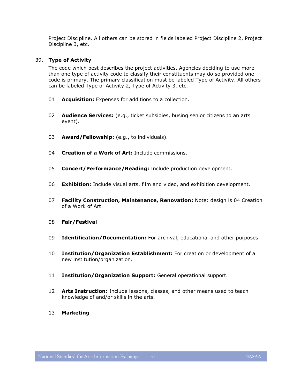Project Discipline. All others can be stored in fields labeled Project Discipline 2, Project Discipline 3, etc.

# 39. **Type of Activity**

The code which best describes the project activities. Agencies deciding to use more than one type of activity code to classify their constituents may do so provided one code is primary. The primary classification must be labeled Type of Activity. All others can be labeled Type of Activity 2, Type of Activity 3, etc.

- 01 **Acquisition:** Expenses for additions to a collection.
- 02 **Audience Services:** (e.g., ticket subsidies, busing senior citizens to an arts event).
- 03 **Award/Fellowship:** (e.g., to individuals).
- 04 **Creation of a Work of Art:** Include commissions.
- 05 **Concert/Performance/Reading:** Include production development.
- 06 **Exhibition:** Include visual arts, film and video, and exhibition development.
- 07 **Facility Construction, Maintenance, Renovation:** Note: design is 04 Creation of a Work of Art.
- 08 **Fair/Festival**
- 09 **Identification/Documentation:** For archival, educational and other purposes.
- 10 **Institution/Organization Establishment:** For creation or development of a new institution/organization.
- 11 **Institution/Organization Support:** General operational support.
- 12 **Arts Instruction:** Include lessons, classes, and other means used to teach knowledge of and/or skills in the arts.
- 13 **Marketing**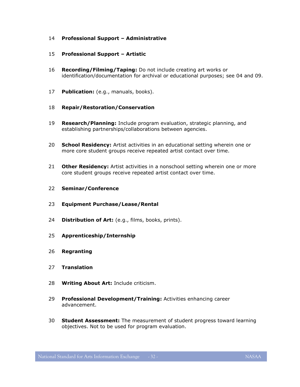#### **Professional Support – Administrative**

#### **Professional Support – Artistic**

- **Recording/Filming/Taping:** Do not include creating art works or identification/documentation for archival or educational purposes; see 04 and 09.
- **Publication:** (e.g., manuals, books).
- **Repair/Restoration/Conservation**
- **Research/Planning:** Include program evaluation, strategic planning, and establishing partnerships/collaborations between agencies.
- **School Residency:** Artist activities in an educational setting wherein one or more core student groups receive repeated artist contact over time.
- **Other Residency:** Artist activities in a nonschool setting wherein one or more core student groups receive repeated artist contact over time.
- **Seminar/Conference**
- **Equipment Purchase/Lease/Rental**
- **Distribution of Art:** (e.g., films, books, prints).
- **Apprenticeship/Internship**
- **Regranting**
- **Translation**
- **Writing About Art:** Include criticism.
- **Professional Development/Training:** Activities enhancing career advancement.
- **Student Assessment:** The measurement of student progress toward learning objectives. Not to be used for program evaluation.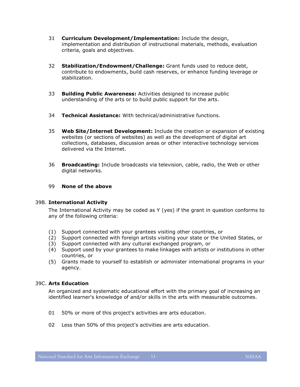- 31 **Curriculum Development/Implementation:** Include the design, implementation and distribution of instructional materials, methods, evaluation criteria, goals and objectives.
- 32 **Stabilization/Endowment/Challenge:** Grant funds used to reduce debt, contribute to endowments, build cash reserves, or enhance funding leverage or stabilization.
- 33 **Building Public Awareness:** Activities designed to increase public understanding of the arts or to build public support for the arts.
- 34 **Technical Assistance:** With technical/administrative functions.
- 35 **Web Site/Internet Development:** Include the creation or expansion of existing websites (or sections of websites) as well as the development of digital art collections, databases, discussion areas or other interactive technology services delivered via the Internet.
- 36 **Broadcasting:** Include broadcasts via television, cable, radio, the Web or other digital networks.

#### 99 **None of the above**

#### 39B. **International Activity**

The International Activity may be coded as Y (yes) if the grant in question conforms to any of the following criteria:

- (1) Support connected with your grantees visiting other countries, or
- (2) Support connected with foreign artists visiting your state or the United States, or
- (3) Support connected with any cultural exchanged program, or
- (4) Support used by your grantees to make linkages with artists or institutions in other countries, or
- (5) Grants made to yourself to establish or administer international programs in your agency.

### 39C. **Arts Education**

An organized and systematic educational effort with the primary goal of increasing an identified learner's knowledge of and/or skills in the arts with measurable outcomes.

- 01 50% or more of this project's activities are arts education.
- 02 Less than 50% of this project's activities are arts education.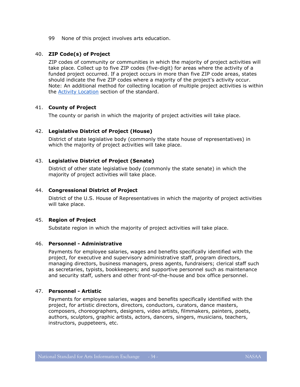99 None of this project involves arts education.

# 40. **ZIP Code(s) of Project**

ZIP codes of community or communities in which the majority of project activities will take place. Collect up to five ZIP codes (five-digit) for areas where the activity of a funded project occurred. If a project occurs in more than five ZIP code areas, states should indicate the five ZIP codes where a majority of the project's activity occur. Note: An additional method for collecting location of multiple project activities is within the [Activity Location](#page-41-0) section of the standard.

# 41. **County of Project**

The county or parish in which the majority of project activities will take place.

# 42. **Legislative District of Project (House)**

District of state legislative body (commonly the state house of representatives) in which the majority of project activities will take place.

# 43. **Legislative District of Project (Senate)**

District of other state legislative body (commonly the state senate) in which the majority of project activities will take place.

#### 44. **Congressional District of Project**

District of the U.S. House of Representatives in which the majority of project activities will take place.

#### 45. **Region of Project**

Substate region in which the majority of project activities will take place.

#### 46. **Personnel - Administrative**

Payments for employee salaries, wages and benefits specifically identified with the project, for executive and supervisory administrative staff, program directors, managing directors, business managers, press agents, fundraisers; clerical staff such as secretaries, typists, bookkeepers; and supportive personnel such as maintenance and security staff, ushers and other front-of-the-house and box office personnel.

#### 47. **Personnel - Artistic**

Payments for employee salaries, wages and benefits specifically identified with the project, for artistic directors, directors, conductors, curators, dance masters, composers, choreographers, designers, video artists, filmmakers, painters, poets, authors, sculptors, graphic artists, actors, dancers, singers, musicians, teachers, instructors, puppeteers, etc.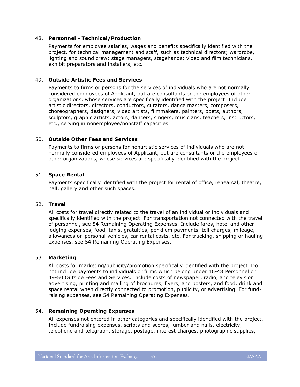#### 48. **Personnel - Technical/Production**

Payments for employee salaries, wages and benefits specifically identified with the project, for technical management and staff, such as technical directors; wardrobe, lighting and sound crew; stage managers, stagehands; video and film technicians, exhibit preparators and installers, etc.

#### 49. **Outside Artistic Fees and Services**

Payments to firms or persons for the services of individuals who are not normally considered employees of Applicant, but are consultants or the employees of other organizations, whose services are specifically identified with the project. Include artistic directors, directors, conductors, curators, dance masters, composers, choreographers, designers, video artists, filmmakers, painters, poets, authors, sculptors, graphic artists, actors, dancers, singers, musicians, teachers, instructors, etc., serving in nonemployee/nonstaff capacities.

# 50. **Outside Other Fees and Services**

Payments to firms or persons for nonartistic services of individuals who are not normally considered employees of Applicant, but are consultants or the employees of other organizations, whose services are specifically identified with the project.

#### 51. **Space Rental**

Payments specifically identified with the project for rental of office, rehearsal, theatre, hall, gallery and other such spaces.

# 52. **Travel**

All costs for travel directly related to the travel of an individual or individuals and specifically identified with the project. For transportation not connected with the travel of personnel, see 54 Remaining Operating Expenses. Include fares, hotel and other lodging expenses, food, taxis, gratuities, per diem payments, toll charges, mileage, allowances on personal vehicles, car rental costs, etc. For trucking, shipping or hauling expenses, see 54 Remaining Operating Expenses.

#### 53. **Marketing**

All costs for marketing/publicity/promotion specifically identified with the project. Do not include payments to individuals or firms which belong under 46-48 Personnel or 49-50 Outside Fees and Services. Include costs of newspaper, radio, and television advertising, printing and mailing of brochures, flyers, and posters, and food, drink and space rental when directly connected to promotion, publicity, or advertising. For fundraising expenses, see 54 Remaining Operating Expenses.

#### 54. **Remaining Operating Expenses**

All expenses not entered in other categories and specifically identified with the project. Include fundraising expenses, scripts and scores, lumber and nails, electricity, telephone and telegraph, storage, postage, interest charges, photographic supplies,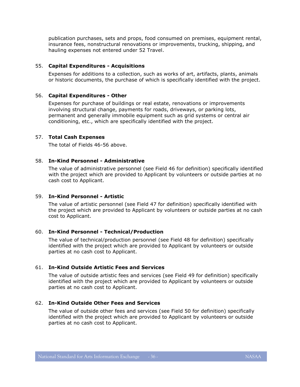publication purchases, sets and props, food consumed on premises, equipment rental, insurance fees, nonstructural renovations or improvements, trucking, shipping, and hauling expenses not entered under 52 Travel.

#### 55. **Capital Expenditures - Acquisitions**

Expenses for additions to a collection, such as works of art, artifacts, plants, animals or historic documents, the purchase of which is specifically identified with the project.

#### 56. **Capital Expenditures - Other**

Expenses for purchase of buildings or real estate, renovations or improvements involving structural change, payments for roads, driveways, or parking lots, permanent and generally immobile equipment such as grid systems or central air conditioning, etc., which are specifically identified with the project.

#### 57. **Total Cash Expenses**

The total of Fields 46-56 above.

#### 58. **In-Kind Personnel - Administrative**

The value of administrative personnel (see Field 46 for definition) specifically identified with the project which are provided to Applicant by volunteers or outside parties at no cash cost to Applicant.

# 59. **In-Kind Personnel - Artistic**

The value of artistic personnel (see Field 47 for definition) specifically identified with the project which are provided to Applicant by volunteers or outside parties at no cash cost to Applicant.

#### 60. **In-Kind Personnel - Technical/Production**

The value of technical/production personnel (see Field 48 for definition) specifically identified with the project which are provided to Applicant by volunteers or outside parties at no cash cost to Applicant.

#### 61. **In-Kind Outside Artistic Fees and Services**

The value of outside artistic fees and services (see Field 49 for definition) specifically identified with the project which are provided to Applicant by volunteers or outside parties at no cash cost to Applicant.

#### 62. **In-Kind Outside Other Fees and Services**

The value of outside other fees and services (see Field 50 for definition) specifically identified with the project which are provided to Applicant by volunteers or outside parties at no cash cost to Applicant.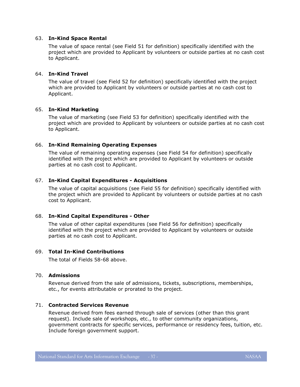#### 63. **In-Kind Space Rental**

The value of space rental (see Field 51 for definition) specifically identified with the project which are provided to Applicant by volunteers or outside parties at no cash cost to Applicant.

#### 64. **In-Kind Travel**

The value of travel (see Field 52 for definition) specifically identified with the project which are provided to Applicant by volunteers or outside parties at no cash cost to Applicant.

#### 65. **In-Kind Marketing**

The value of marketing (see Field 53 for definition) specifically identified with the project which are provided to Applicant by volunteers or outside parties at no cash cost to Applicant.

#### 66. **In-Kind Remaining Operating Expenses**

The value of remaining operating expenses (see Field 54 for definition) specifically identified with the project which are provided to Applicant by volunteers or outside parties at no cash cost to Applicant.

#### 67. **In-Kind Capital Expenditures - Acquisitions**

The value of capital acquisitions (see Field 55 for definition) specifically identified with the project which are provided to Applicant by volunteers or outside parties at no cash cost to Applicant.

#### 68. **In-Kind Capital Expenditures - Other**

The value of other capital expenditures (see Field 56 for definition) specifically identified with the project which are provided to Applicant by volunteers or outside parties at no cash cost to Applicant.

#### 69. **Total In-Kind Contributions**

The total of Fields 58-68 above.

#### 70. **Admissions**

Revenue derived from the sale of admissions, tickets, subscriptions, memberships, etc., for events attributable or prorated to the project.

#### 71. **Contracted Services Revenue**

Revenue derived from fees earned through sale of services (other than this grant request). Include sale of workshops, etc., to other community organizations, government contracts for specific services, performance or residency fees, tuition, etc. Include foreign government support.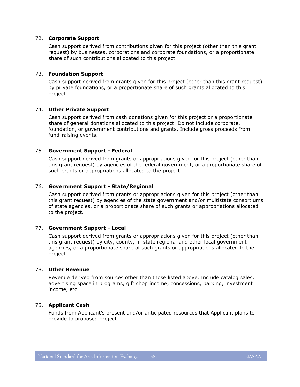#### 72. **Corporate Support**

Cash support derived from contributions given for this project (other than this grant request) by businesses, corporations and corporate foundations, or a proportionate share of such contributions allocated to this project.

#### 73. **Foundation Support**

Cash support derived from grants given for this project (other than this grant request) by private foundations, or a proportionate share of such grants allocated to this project.

#### 74. **Other Private Support**

Cash support derived from cash donations given for this project or a proportionate share of general donations allocated to this project. Do not include corporate, foundation, or government contributions and grants. Include gross proceeds from fund-raising events.

#### 75. **Government Support - Federal**

Cash support derived from grants or appropriations given for this project (other than this grant request) by agencies of the federal government, or a proportionate share of such grants or appropriations allocated to the project.

#### 76. **Government Support - State/Regional**

Cash support derived from grants or appropriations given for this project (other than this grant request) by agencies of the state government and/or multistate consortiums of state agencies, or a proportionate share of such grants or appropriations allocated to the project.

#### 77. **Government Support - Local**

Cash support derived from grants or appropriations given for this project (other than this grant request) by city, county, in-state regional and other local government agencies, or a proportionate share of such grants or appropriations allocated to the project.

#### 78. **Other Revenue**

Revenue derived from sources other than those listed above. Include catalog sales, advertising space in programs, gift shop income, concessions, parking, investment income, etc.

#### 79. **Applicant Cash**

Funds from Applicant's present and/or anticipated resources that Applicant plans to provide to proposed project.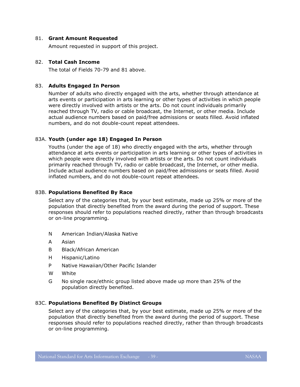#### 81. **Grant Amount Requested**

Amount requested in support of this project.

#### 82. **Total Cash Income**

The total of Fields 70-79 and 81 above.

#### 83. **Adults Engaged In Person**

Number of adults who directly engaged with the arts, whether through attendance at arts events or participation in arts learning or other types of activities in which people were directly involved with artists or the arts. Do not count individuals primarily reached through TV, radio or cable broadcast, the Internet, or other media. Include actual audience numbers based on paid/free admissions or seats filled. Avoid inflated numbers, and do not double-count repeat attendees.

#### 83A. **Youth (under age 18) Engaged In Person**

Youths (under the age of 18) who directly engaged with the arts, whether through attendance at arts events or participation in arts learning or other types of activities in which people were directly involved with artists or the arts. Do not count individuals primarily reached through TV, radio or cable broadcast, the Internet, or other media. Include actual audience numbers based on paid/free admissions or seats filled. Avoid inflated numbers, and do not double-count repeat attendees.

#### 83B. **Populations Benefited By Race**

Select any of the categories that, by your best estimate, made up 25% or more of the population that directly benefited from the award during the period of support. These responses should refer to populations reached directly, rather than through broadcasts or on-line programming.

- N American Indian/Alaska Native
- A Asian
- B Black/African American
- H Hispanic/Latino
- P Native Hawaiian/Other Pacific Islander
- W White
- G No single race/ethnic group listed above made up more than 25% of the population directly benefited.

#### 83C. **Populations Benefited By Distinct Groups**

Select any of the categories that, by your best estimate, made up 25% or more of the population that directly benefited from the award during the period of support. These responses should refer to populations reached directly, rather than through broadcasts or on-line programming.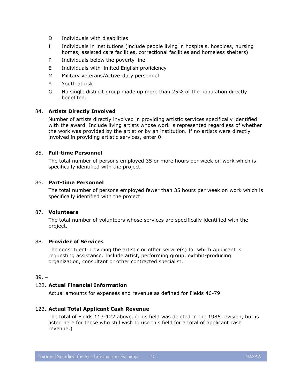- D Individuals with disabilities
- I Individuals in institutions (include people living in hospitals, hospices, nursing homes, assisted care facilities, correctional facilities and homeless shelters)
- P Individuals below the poverty line
- E Individuals with limited English proficiency
- M Military veterans/Active-duty personnel
- Y Youth at risk
- G No single distinct group made up more than 25% of the population directly benefited.

#### 84. **Artists Directly Involved**

Number of artists directly involved in providing artistic services specifically identified with the award. Include living artists whose work is represented regardless of whether the work was provided by the artist or by an institution. If no artists were directly involved in providing artistic services, enter 0.

#### 85. **Full-time Personnel**

The total number of persons employed 35 or more hours per week on work which is specifically identified with the project.

#### 86. **Part-time Personnel**

The total number of persons employed fewer than 35 hours per week on work which is specifically identified with the project.

#### 87. **Volunteers**

The total number of volunteers whose services are specifically identified with the project.

#### 88. **Provider of Services**

The constituent providing the artistic or other service(s) for which Applicant is requesting assistance. Include artist, performing group, exhibit-producing organization, consultant or other contracted specialist.

#### 89. –

#### 122. **Actual Financial Information**

Actual amounts for expenses and revenue as defined for Fields 46-79.

# 123. **Actual Total Applicant Cash Revenue**

The total of Fields 113-122 above. (This field was deleted in the 1986 revision, but is listed here for those who still wish to use this field for a total of applicant cash revenue.)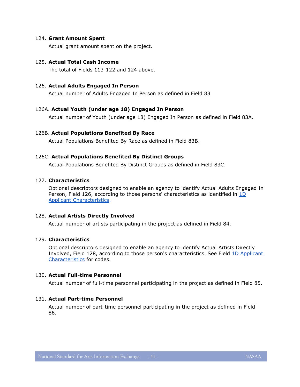#### 124. **Grant Amount Spent**

Actual grant amount spent on the project.

#### 125. **Actual Total Cash Income**

The total of Fields 113-122 and 124 above.

#### 126. **Actual Adults Engaged In Person**

Actual number of Adults Engaged In Person as defined in Field 83

#### 126A. **Actual Youth (under age 18) Engaged In Person**

Actual number of Youth (under age 18) Engaged In Person as defined in Field 83A.

#### 126B. **Actual Populations Benefited By Race**

Actual Populations Benefited By Race as defined in Field 83B.

#### 126C. **Actual Populations Benefited By Distinct Groups**

Actual Populations Benefited By Distinct Groups as defined in Field 83C.

# 127. **Characteristics**

Optional descriptors designed to enable an agency to identify Actual Adults Engaged In Person, Field 126, according to those persons' characteristics as identified in [1D](#page-24-0) [Applicant Characteristics.](#page-24-0)

#### 128. **Actual Artists Directly Involved**

Actual number of artists participating in the project as defined in Field 84.

# 129. **Characteristics**

Optional descriptors designed to enable an agency to identify Actual Artists Directly Involved, Field 128, according to those person's characteristics. See Field [1D Applicant](#page-24-0)  [Characteristics](#page-24-0) for codes.

#### 130. **Actual Full-time Personnel**

Actual number of full-time personnel participating in the project as defined in Field 85.

#### 131. **Actual Part-time Personnel**

Actual number of part-time personnel participating in the project as defined in Field 86.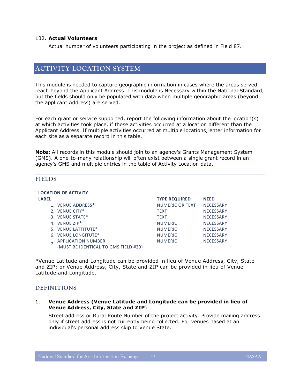#### 132. **Actual Volunteers**

Actual number of volunteers participating in the project as defined in Field 87.

# <span id="page-41-0"></span>**ACTIVITY LOCATION SYSTEM**

This module is needed to capture geographic information in cases where the areas served reach beyond the Applicant Address. This module is Necessary within the National Standard, but the fields should only be populated with data when multiple geographic areas (beyond the applicant Address) are served.

For each grant or service supported, report the following information about the location(s) at which activities took place, if those activities occurred at a location different than the Applicant Address. If multiple activities occurred at multiple locations, enter information for each site as a separate record in this table.

**Note:** All records in this module should join to an agency's Grants Management System (GMS). A one-to-many relationship will often exist between a single grant record in an agency's GMS and multiple entries in the table of Activity Location data.

#### <span id="page-41-1"></span>**FIELDS**

#### **LOCATION OF ACTIVITY**

| <b>LABEL</b>                         | <b>TYPE REQUIRED</b> | <b>NEED</b>      |
|--------------------------------------|----------------------|------------------|
| 1. VENUE ADDRESS*                    | NUMERIC OR TEXT      | <b>NECESSARY</b> |
| 2. VENUE CITY*                       | <b>TEXT</b>          | <b>NECESSARY</b> |
| 3. VENUE STATE*                      | <b>TEXT</b>          | <b>NECESSARY</b> |
| 4. VENUE ZIP*                        | <b>NUMERIC</b>       | <b>NECESSARY</b> |
| 5. VENUE LATTITUTE*                  | <b>NUMERIC</b>       | <b>NECESSARY</b> |
| 6. VENUE LONGITUTE*                  | <b>NUMERIC</b>       | <b>NECESSARY</b> |
| <b>APPLICATION NUMBER</b>            | <b>NUMERIC</b>       | <b>NECESSARY</b> |
| (MUST BE IDENTICAL TO GMS FIELD #20) |                      |                  |

\*Venue Latitude and Longitude can be provided in lieu of Venue Address, City, State and ZIP; or Venue Address, City, State and ZIP can be provided in lieu of Venue Latitude and Longitude.

# <span id="page-41-2"></span>**DEFINITIONS**

#### 1. **Venue Address (Venue Latitude and Longitude can be provided in lieu of Venue Address, City, State and ZIP**)

Street address or Rural Route Number of the project activity. Provide mailing address only if street address is not currently being collected. For venues based at an individual's personal address skip to Venue State.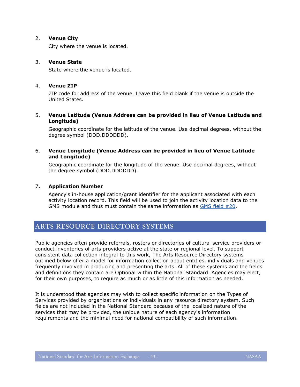#### 2. **Venue City**

City where the venue is located.

#### 3. **Venue State**

State where the venue is located.

#### 4. **Venue ZIP**

ZIP code for address of the venue. Leave this field blank if the venue is outside the United States.

#### 5. **Venue Latitude (Venue Address can be provided in lieu of Venue Latitude and Longitude)**

Geographic coordinate for the latitude of the venue. Use decimal degrees, without the degree symbol (DDD.DDDDDD).

#### 6. **Venue Longitude (Venue Address can be provided in lieu of Venue Latitude and Longitude)**

Geographic coordinate for the longitude of the venue. Use decimal degrees, without the degree symbol (DDD.DDDDDD).

#### 7**. Application Number**

Agency's in-house application/grant identifier for the applicant associated with each activity location record. This field will be used to join the activity location data to the GMS module and thus must contain the same information as [GMS field #20.](#page-19-1)

# <span id="page-42-0"></span>**ARTS RESOURCE DIRECTORY SYSTEMS**

Public agencies often provide referrals, rosters or directories of cultural service providers or conduct inventories of arts providers active at the state or regional level. To support consistent data collection integral to this work, The Arts Resource Directory systems outlined below offer a model for information collection about entities, individuals and venues frequently involved in producing and presenting the arts. All of these systems and the fields and definitions they contain are Optional within the National Standard. Agencies may elect, for their own purposes, to require as much or as little of this information as needed.

It is understood that agencies may wish to collect specific information on the Types of Services provided by organizations or individuals in any resource directory system. Such fields are not included in the National Standard because of the localized nature of the services that may be provided, the unique nature of each agency's information requirements and the minimal need for national compatibility of such information.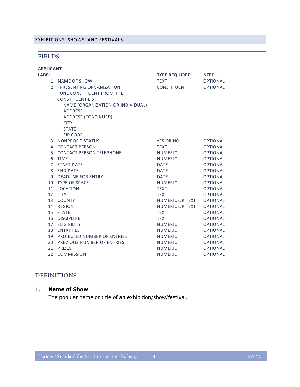#### <span id="page-43-1"></span><span id="page-43-0"></span>EXHIBITIONS, SHOWS, AND FESTIVALS

# **FIELDS**

| <b>APPLICANT</b> |                                   |                        |                 |
|------------------|-----------------------------------|------------------------|-----------------|
| <b>LABEL</b>     |                                   | <b>TYPE REQUIRED</b>   | <b>NEED</b>     |
|                  | 1. NAME OF SHOW                   | <b>TEXT</b>            | <b>OPTIONAL</b> |
|                  | 2. PRESENTING ORGANIZATION        | <b>CONSTITUENT</b>     | <b>OPTIONAL</b> |
|                  | ONE CONSTITUENT FROM THE          |                        |                 |
|                  | <b>CONSTITUENT LIST</b>           |                        |                 |
|                  | NAME (ORGANIZATION OR INDIVIDUAL) |                        |                 |
|                  | <b>ADDRESS</b>                    |                        |                 |
|                  | <b>ADDRESS (CONTINUED)</b>        |                        |                 |
|                  | <b>CITY</b>                       |                        |                 |
|                  | <b>STATE</b>                      |                        |                 |
|                  | <b>ZIP CODE</b>                   |                        |                 |
|                  | 3. NONPROFIT STATUS               | <b>YES OR NO</b>       | <b>OPTIONAL</b> |
|                  | 4. CONTACT PERSON                 | <b>TEXT</b>            | <b>OPTIONAL</b> |
|                  | 5. CONTACT PERSON TELEPHONE       | <b>NUMERIC</b>         | <b>OPTIONAL</b> |
|                  | 6. TIME                           | <b>NUMERIC</b>         | <b>OPTIONAL</b> |
|                  | 7. START DATE                     | <b>DATE</b>            | <b>OPTIONAL</b> |
|                  | 8. END DATE                       | <b>DATE</b>            | <b>OPTIONAL</b> |
|                  | 9. DEADLINE FOR ENTRY             | <b>DATE</b>            | <b>OPTIONAL</b> |
|                  | 10. TYPE OF SPACE                 | <b>NUMERIC</b>         | <b>OPTIONAL</b> |
|                  | 11. LOCATION                      | <b>TEXT</b>            | <b>OPTIONAL</b> |
|                  | 12. CITY                          | <b>TEXT</b>            | <b>OPTIONAL</b> |
|                  | 13. COUNTY                        | NUMERIC OR TEXT        | <b>OPTIONAL</b> |
|                  | 14. REGION                        | <b>NUMERIC OR TEXT</b> | <b>OPTIONAL</b> |
|                  | 15. STATE                         | <b>TEXT</b>            | <b>OPTIONAL</b> |
|                  | 16. DISCIPLINE                    | <b>TEXT</b>            | <b>OPTIONAL</b> |
|                  | 17. ELIGIBILITY                   | <b>NUMERIC</b>         | <b>OPTIONAL</b> |
|                  | 18. ENTRY FEE                     | <b>NUMERIC</b>         | <b>OPTIONAL</b> |
|                  | 19. PROJECTED NUMBER OF ENTRIES   | <b>NUMERIC</b>         | <b>OPTIONAL</b> |
|                  | 20. PREVIOUS NUMBER OF ENTRIES    | <b>NUMERIC</b>         | <b>OPTIONAL</b> |
|                  | 21. PRIZES                        | <b>NUMERIC</b>         | <b>OPTIONAL</b> |
|                  | 22. COMMISSION                    | <b>NUMERIC</b>         | <b>OPTIONAL</b> |

# <span id="page-43-2"></span>**DEFINITIONS**

# 1. **Name of Show**

The popular name or title of an exhibition/show/festival.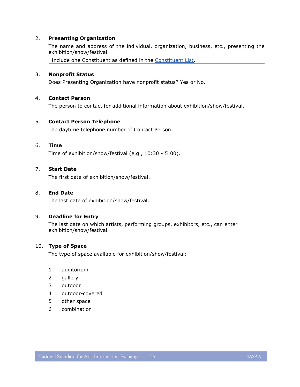#### 2. **Presenting Organization**

The name and address of the individual, organization, business, etc., presenting the exhibition/show/festival.

Include one Constituent as defined in the [Constituent List.](#page-9-0)

#### 3. **Nonprofit Status**

Does Presenting Organization have nonprofit status? Yes or No.

#### 4. **Contact Person**

The person to contact for additional information about exhibition/show/festival.

#### 5. **Contact Person Telephone**

The daytime telephone number of Contact Person.

#### 6. **Time**

Time of exhibition/show/festival (e.g., 10:30 - 5:00).

# 7. **Start Date**

The first date of exhibition/show/festival.

#### 8. **End Date**

The last date of exhibition/show/festival.

#### 9. **Deadline for Entry**

The last date on which artists, performing groups, exhibitors, etc., can enter exhibition/show/festival.

#### 10. **Type of Space**

The type of space available for exhibition/show/festival:

- 1 auditorium
- 2 gallery
- 3 outdoor
- 4 outdoor-covered
- 5 other space
- 6 combination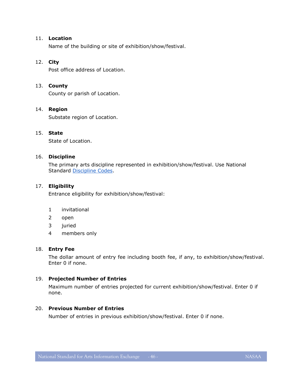#### 11. **Location**

Name of the building or site of exhibition/show/festival.

#### 12. **City**

Post office address of Location.

#### 13. **County**

County or parish of Location.

#### 14. **Region**

Substate region of Location.

#### 15. **State**

State of Location.

#### 16. **Discipline**

The primary arts discipline represented in exhibition/show/festival. Use National Standard [Discipline Codes.](#page-15-0)

#### 17. **Eligibility**

Entrance eligibility for exhibition/show/festival:

- 1 invitational
- 2 open
- 3 juried
- 4 members only

#### 18. **Entry Fee**

The dollar amount of entry fee including booth fee, if any, to exhibition/show/festival. Enter 0 if none.

#### 19. **Projected Number of Entries**

Maximum number of entries projected for current exhibition/show/festival. Enter 0 if none.

#### 20. **Previous Number of Entries**

Number of entries in previous exhibition/show/festival. Enter 0 if none.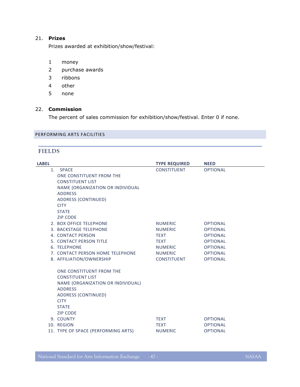# 21. **Prizes**

Prizes awarded at exhibition/show/festival:

- 1 money
- 2 purchase awards
- 3 ribbons
- 4 other
- 5 none

# 22. **Commission**

The percent of sales commission for exhibition/show/festival. Enter 0 if none.

# <span id="page-46-1"></span><span id="page-46-0"></span>PERFORMING ARTS FACILITIES

# **FIELDS**

| <b>LABEL</b>                                                                  |                                                                                                                                              | <b>TYPE REQUIRED</b>                                                                                                     | <b>NEED</b>                                                                                                                       |
|-------------------------------------------------------------------------------|----------------------------------------------------------------------------------------------------------------------------------------------|--------------------------------------------------------------------------------------------------------------------------|-----------------------------------------------------------------------------------------------------------------------------------|
| 1. SPACE<br><b>ADDRESS</b><br><b>CITY</b><br><b>STATE</b><br><b>ZIP CODE</b>  | ONE CONSTITUENT FROM THE<br><b>CONSTITUENT LIST</b><br>NAME (ORGANIZATION OR INDIVIDUAL<br>ADDRESS (CONTINUED)                               | <b>CONSTITUENT</b>                                                                                                       | <b>OPTIONAL</b>                                                                                                                   |
| 4. CONTACT PERSON<br>6. TELEPHONE                                             | 2. BOX OFFICE TELEPHONE<br>3. BACKSTAGE TELEPHONE<br>5. CONTACT PERSON TITLE<br>7. CONTACT PERSON HOME TELEPHONE<br>8. AFFILIATION/OWNERSHIP | <b>NUMERIC</b><br><b>NUMERIC</b><br><b>TEXT</b><br><b>TEXT</b><br><b>NUMERIC</b><br><b>NUMERIC</b><br><b>CONSTITUENT</b> | <b>OPTIONAL</b><br><b>OPTIONAL</b><br><b>OPTIONAL</b><br><b>OPTIONAL</b><br><b>OPTIONAL</b><br><b>OPTIONAL</b><br><b>OPTIONAL</b> |
| <b>ADDRESS</b><br><b>CITY</b><br><b>STATE</b><br><b>ZIP CODE</b><br>9. COUNTY | ONE CONSTITUENT FROM THE<br><b>CONSTITUENT LIST</b><br>NAME (ORGANIZATION OR INDIVIDUAL)<br>ADDRESS (CONTINUED)                              | <b>TEXT</b>                                                                                                              | <b>OPTIONAL</b>                                                                                                                   |
| 10. REGION                                                                    |                                                                                                                                              | <b>TEXT</b>                                                                                                              | <b>OPTIONAL</b>                                                                                                                   |
|                                                                               | 11. TYPE OF SPACE (PERFORMING ARTS)                                                                                                          | <b>NUMERIC</b>                                                                                                           | <b>OPTIONAL</b>                                                                                                                   |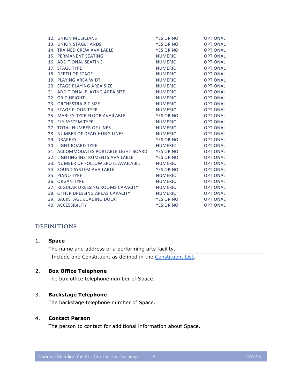| 12. UNION MUSICIANS                   | <b>YES OR NO</b> | <b>OPTIONAL</b> |
|---------------------------------------|------------------|-----------------|
| 13. UNION STAGEHANDS                  | YES OR NO        | <b>OPTIONAL</b> |
| 14. TRAINED CREW AVAILABLE            | <b>YES OR NO</b> | <b>OPTIONAL</b> |
| 15. PERMANENT SEATING                 | <b>NUMERIC</b>   | <b>OPTIONAL</b> |
| 16. ADDITIONAL SEATING                | <b>NUMERIC</b>   | <b>OPTIONAL</b> |
| 17. STAGE TYPE                        | <b>NUMERIC</b>   | <b>OPTIONAL</b> |
| 18. DEPTH OF STAGE                    | <b>NUMERIC</b>   | <b>OPTIONAL</b> |
| 19. PLAYING AREA WIDTH                | <b>NUMERIC</b>   | <b>OPTIONAL</b> |
| 20. STAGE PLAYING AREA SIZE           | <b>NUMERIC</b>   | <b>OPTIONAL</b> |
| 21. ADDITIONAL PLAYING AREA SIZE      | <b>NUMERIC</b>   | <b>OPTIONAL</b> |
| 22. GRID HEIGHT                       | <b>NUMERIC</b>   | <b>OPTIONAL</b> |
| 23. ORCHESTRA PIT SIZE                | <b>NUMERIC</b>   | <b>OPTIONAL</b> |
| 24. STAGE FLOOR TYPE                  | <b>NUMERIC</b>   | <b>OPTIONAL</b> |
| 25. MARLEY-TYPE FLOOR AVAILABLE       | YES OR NO        | <b>OPTIONAL</b> |
| 26. FLY SYSTEM TYPE                   | <b>NUMERIC</b>   | <b>OPTIONAL</b> |
| 27. TOTAL NUMBER OF LINES             | <b>NUMERIC</b>   | <b>OPTIONAL</b> |
| 28. NUMBER OF DEAD-HUNG LINES         | <b>NUMERIC</b>   | <b>OPTIONAL</b> |
| 29. DRAPERY                           | YES OR NO        | <b>OPTIONAL</b> |
| <b>30. LIGHT BOARD TYPE</b>           | <b>NUMERIC</b>   | <b>OPTIONAL</b> |
| 31. ACCOMMODATES PORTABLE LIGHT BOARD | YES OR NO        | <b>OPTIONAL</b> |
| 32. LIGHTING INSTRUMENTS AVAILABLE    | YES OR NO        | <b>OPTIONAL</b> |
| 33. NUMBER OF FOLLOW SPOTS AVAILABLE  | NUMERIC          | <b>OPTIONAL</b> |
| 34. SOUND SYSTEM AVAILABLE            | <b>YES OR NO</b> | <b>OPTIONAL</b> |
| 35. PIANO TYPE                        | <b>NUMERIC</b>   | <b>OPTIONAL</b> |
| 36. ORGAN TYPE                        | <b>NUMERIC</b>   | <b>OPTIONAL</b> |
| 37. REGULAR DRESSING ROOMS CAPACITY   | <b>NUMERIC</b>   | <b>OPTIONAL</b> |
| 38. OTHER DRESSING AREAS CAPACITY     | <b>NUMERIC</b>   | <b>OPTIONAL</b> |
| 39. BACKSTAGE LOADING DOCK            | <b>YES OR NO</b> | <b>OPTIONAL</b> |
| 40. ACCESSIBILITY                     | <b>YES OR NO</b> | <b>OPTIONAL</b> |

#### <span id="page-47-0"></span>**DEFINITIONS**

| 1. | <b>Space</b>                                                |
|----|-------------------------------------------------------------|
|    | The name and address of a performing arts facility.         |
|    | Include one Constituent as defined in the Constituent List. |

# 2. **Box Office Telephone**

The box office telephone number of Space.

#### 3. **Backstage Telephone**

The backstage telephone number of Space.

# 4. **Contact Person**

The person to contact for additional information about Space.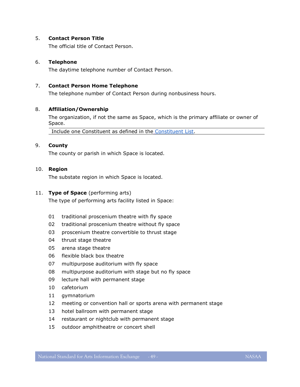#### 5. **Contact Person Title**

The official title of Contact Person.

# 6. **Telephone**

The daytime telephone number of Contact Person.

# 7. **Contact Person Home Telephone**

The telephone number of Contact Person during nonbusiness hours.

# 8. **Affiliation/Ownership**

The organization, if not the same as Space, which is the primary affiliate or owner of Space.

Include one Constituent as defined in the [Constituent List.](#page-9-0)

# 9. **County**

The county or parish in which Space is located.

# 10. **Region**

The substate region in which Space is located.

#### 11. **Type of Space** (performing arts)

The type of performing arts facility listed in Space:

- 01 traditional proscenium theatre with fly space
- 02 traditional proscenium theatre without fly space
- 03 proscenium theatre convertible to thrust stage
- 04 thrust stage theatre
- 05 arena stage theatre
- 06 flexible black box theatre
- 07 multipurpose auditorium with fly space
- 08 multipurpose auditorium with stage but no fly space
- 09 lecture hall with permanent stage
- 10 cafetorium
- 11 gymnatorium
- 12 meeting or convention hall or sports arena with permanent stage
- 13 hotel ballroom with permanent stage
- 14 restaurant or nightclub with permanent stage
- 15 outdoor amphitheatre or concert shell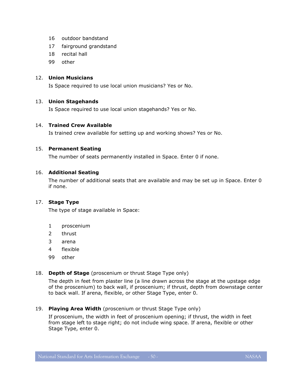- 16 outdoor bandstand
- 17 fairground grandstand
- 18 recital hall
- 99 other

# 12. **Union Musicians**

Is Space required to use local union musicians? Yes or No.

# 13. **Union Stagehands**

Is Space required to use local union stagehands? Yes or No.

# 14. **Trained Crew Available**

Is trained crew available for setting up and working shows? Yes or No.

# 15. **Permanent Seating**

The number of seats permanently installed in Space. Enter 0 if none.

# 16. **Additional Seating**

The number of additional seats that are available and may be set up in Space. Enter 0 if none.

# 17. **Stage Type**

The type of stage available in Space:

- 1 proscenium
- 2 thrust
- 3 arena
- 4 flexible
- 99 other

# 18. **Depth of Stage** (proscenium or thrust Stage Type only)

The depth in feet from plaster line (a line drawn across the stage at the upstage edge of the proscenium) to back wall, if proscenium; if thrust, depth from downstage center to back wall. If arena, flexible, or other Stage Type, enter 0.

19. **Playing Area Width** (proscenium or thrust Stage Type only)

If proscenium, the width in feet of proscenium opening; if thrust, the width in feet from stage left to stage right; do not include wing space. If arena, flexible or other Stage Type, enter 0.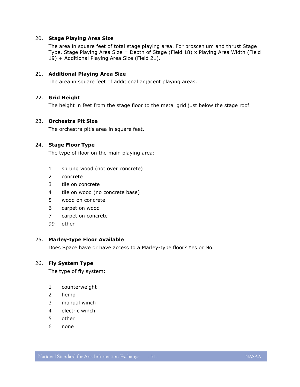#### 20. **Stage Playing Area Size**

The area in square feet of total stage playing area. For proscenium and thrust Stage Type, Stage Playing Area Size = Depth of Stage (Field 18) x Playing Area Width (Field 19) + Additional Playing Area Size (Field 21).

#### 21. **Additional Playing Area Size**

The area in square feet of additional adjacent playing areas.

#### 22. **Grid Height**

The height in feet from the stage floor to the metal grid just below the stage roof.

# 23. **Orchestra Pit Size**

The orchestra pit's area in square feet.

# 24. **Stage Floor Type**

The type of floor on the main playing area:

- 1 sprung wood (not over concrete)
- 2 concrete
- 3 tile on concrete
- 4 tile on wood (no concrete base)
- 5 wood on concrete
- 6 carpet on wood
- 7 carpet on concrete
- 99 other

#### 25. **Marley-type Floor Available**

Does Space have or have access to a Marley-type floor? Yes or No.

#### 26. **Fly System Type**

The type of fly system:

- 1 counterweight
- 2 hemp
- 3 manual winch
- 4 electric winch
- 5 other
- 6 none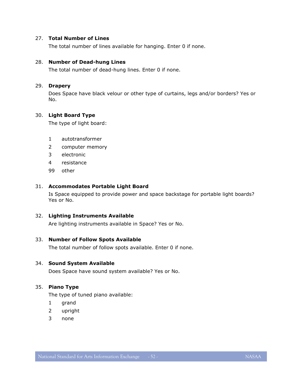#### 27. **Total Number of Lines**

The total number of lines available for hanging. Enter 0 if none.

#### 28. **Number of Dead-hung Lines**

The total number of dead-hung lines. Enter 0 if none.

#### 29. **Drapery**

Does Space have black velour or other type of curtains, legs and/or borders? Yes or No.

# 30. **Light Board Type**

The type of light board:

- 1 autotransformer
- 2 computer memory
- 3 electronic
- 4 resistance
- 99 other

#### 31. **Accommodates Portable Light Board**

Is Space equipped to provide power and space backstage for portable light boards? Yes or No.

#### 32. **Lighting Instruments Available**

Are lighting instruments available in Space? Yes or No.

#### 33. **Number of Follow Spots Available**

The total number of follow spots available. Enter 0 if none.

#### 34. **Sound System Available**

Does Space have sound system available? Yes or No.

#### 35. **Piano Type**

The type of tuned piano available:

- 1 grand
- 2 upright
- 3 none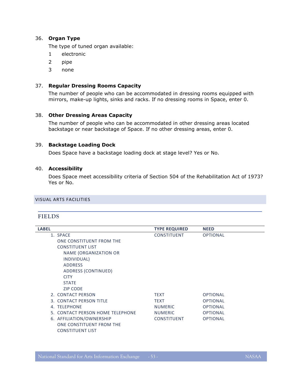# 36. **Organ Type**

The type of tuned organ available:

- 1 electronic
- 2 pipe
- 3 none

# 37. **Regular Dressing Rooms Capacity**

The number of people who can be accommodated in dressing rooms equipped with mirrors, make-up lights, sinks and racks. If no dressing rooms in Space, enter 0.

# 38. **Other Dressing Areas Capacity**

The number of people who can be accommodated in other dressing areas located backstage or near backstage of Space. If no other dressing areas, enter 0.

#### 39. **Backstage Loading Dock**

Does Space have a backstage loading dock at stage level? Yes or No.

# 40. **Accessibility**

Does Space meet accessibility criteria of Section 504 of the Rehabilitation Act of 1973? Yes or No.

# <span id="page-52-1"></span><span id="page-52-0"></span>VISUAL ARTS FACILITIES

#### **FIELDS**

| <b>LABEL</b>                     | <b>TYPE REQUIRED</b> | <b>NEED</b>     |
|----------------------------------|----------------------|-----------------|
| 1. SPACE                         | <b>CONSTITUENT</b>   | <b>OPTIONAL</b> |
| ONE CONSTITUENT FROM THE         |                      |                 |
| <b>CONSTITUENT LIST</b>          |                      |                 |
| NAME (ORGANIZATION OR            |                      |                 |
| INDIVIDUAL)                      |                      |                 |
| <b>ADDRESS</b>                   |                      |                 |
| ADDRESS (CONTINUED)              |                      |                 |
| <b>CITY</b>                      |                      |                 |
| <b>STATE</b>                     |                      |                 |
| <b>ZIP CODE</b>                  |                      |                 |
| 2. CONTACT PERSON                | <b>TEXT</b>          | <b>OPTIONAL</b> |
| 3. CONTACT PERSON TITLE          | <b>TEXT</b>          | <b>OPTIONAL</b> |
| 4. TELEPHONE                     | <b>NUMERIC</b>       | <b>OPTIONAL</b> |
| 5. CONTACT PERSON HOME TELEPHONE | <b>NUMERIC</b>       | <b>OPTIONAL</b> |
| 6. AFFILIATION/OWNERSHIP         | <b>CONSTITUENT</b>   | <b>OPTIONAL</b> |
| ONE CONSTITUENT FROM THE         |                      |                 |
| <b>CONSTITUENT LIST</b>          |                      |                 |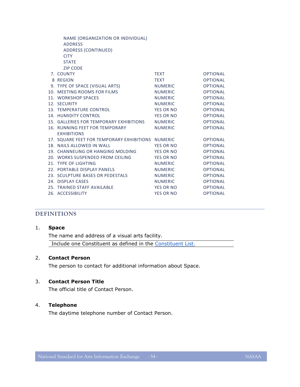| NAME (ORGANIZATION OR INDIVIDUAL)                 |                  |                 |
|---------------------------------------------------|------------------|-----------------|
| <b>ADDRESS</b>                                    |                  |                 |
| <b>ADDRESS (CONTINUED)</b>                        |                  |                 |
| <b>CITY</b>                                       |                  |                 |
| <b>STATE</b>                                      |                  |                 |
| <b>ZIP CODE</b>                                   |                  |                 |
| 7. COUNTY                                         | <b>TEXT</b>      | <b>OPTIONAL</b> |
| 8 REGION                                          | <b>TEXT</b>      | <b>OPTIONAL</b> |
| 9. TYPE OF SPACE (VISUAL ARTS)                    | NUMERIC          | <b>OPTIONAL</b> |
| 10. MEETING ROOMS FOR FILMS                       | <b>NUMERIC</b>   | <b>OPTIONAL</b> |
| 11. WORKSHOP SPACES                               | NUMERIC          | <b>OPTIONAL</b> |
| 12. SECURITY                                      | <b>NUMERIC</b>   | <b>OPTIONAL</b> |
| 13. TEMPERATURE CONTROL                           | YES OR NO        | <b>OPTIONAL</b> |
| 14. HUMIDITY CONTROL                              | YES OR NO        | <b>OPTIONAL</b> |
| 15. GALLERIES FOR TEMPORARY EXHIBITIONS           | NUMERIC          | <b>OPTIONAL</b> |
| 16. RUNNING FEET FOR TEMPORARY                    | <b>NUMERIC</b>   | <b>OPTIONAL</b> |
| <b>EXHIBITIONS</b>                                |                  |                 |
| 17. SQUARE FEET FOR TEMPORARY EXHIBITIONS NUMERIC |                  | <b>OPTIONAL</b> |
| 18. NAILS ALLOWED IN WALL                         | YES OR NO        | <b>OPTIONAL</b> |
| 19. CHANNELING OR HANGING MOLDING                 | YES OR NO        | <b>OPTIONAL</b> |
| 20. WORKS SUSPENDED FROM CEILING                  | YES OR NO        | <b>OPTIONAL</b> |
| 21. TYPE OF LIGHTING                              | <b>NUMERIC</b>   | <b>OPTIONAL</b> |
| 22. PORTABLE DISPLAY PANELS                       | NUMERIC          | <b>OPTIONAL</b> |
| 23. SCULPTURE BASES OR PEDESTALS                  | NUMERIC          | <b>OPTIONAL</b> |
| 24. DISPLAY CASES                                 | <b>NUMERIC</b>   | <b>OPTIONAL</b> |
| 25. TRAINED STAFF AVAILABLE                       | YES OR NO        | <b>OPTIONAL</b> |
| 26. ACCESSIBILITY                                 | <b>YES OR NO</b> | <b>OPTIONAL</b> |

# <span id="page-53-0"></span>**DEFINITIONS**

#### 1. **Space**

The name and address of a visual arts facility. Include one Constituent as defined in the [Constituent List.](#page-9-0)

# 2. **Contact Person**

The person to contact for additional information about Space.

#### 3. **Contact Person Title**

The official title of Contact Person.

#### 4. **Telephone**

The daytime telephone number of Contact Person.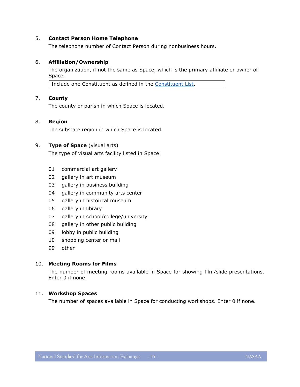#### 5. **Contact Person Home Telephone**

The telephone number of Contact Person during nonbusiness hours.

# 6. **Affiliation/Ownership**

The organization, if not the same as Space, which is the primary affiliate or owner of Space.

Include one Constituent as defined in the [Constituent List.](#page-9-0)

# 7. **County**

The county or parish in which Space is located.

#### 8. **Region**

The substate region in which Space is located.

# 9. **Type of Space** (visual arts)

The type of visual arts facility listed in Space:

- 01 commercial art gallery
- 02 gallery in art museum
- 03 gallery in business building
- 04 gallery in community arts center
- 05 gallery in historical museum
- 06 gallery in library
- 07 gallery in school/college/university
- 08 gallery in other public building
- 09 lobby in public building
- 10 shopping center or mall
- 99 other

#### 10. **Meeting Rooms for Films**

The number of meeting rooms available in Space for showing film/slide presentations. Enter 0 if none.

# 11. **Workshop Spaces**

The number of spaces available in Space for conducting workshops. Enter 0 if none.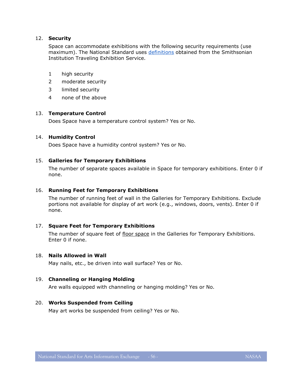#### 12. **Security**

Space can accommodate exhibitions with the following security requirements (use maximum). The National Standard uses [definitions](http://www.sites.si.edu/host/security_search.htm) obtained from the Smithsonian Institution Traveling Exhibition Service.

- 1 high security
- 2 moderate security
- 3 limited security
- 4 none of the above

#### 13. **Temperature Control**

Does Space have a temperature control system? Yes or No.

#### 14. **Humidity Control**

Does Space have a humidity control system? Yes or No.

#### 15. **Galleries for Temporary Exhibitions**

The number of separate spaces available in Space for temporary exhibitions. Enter 0 if none.

#### 16. **Running Feet for Temporary Exhibitions**

The number of running feet of wall in the Galleries for Temporary Exhibitions. Exclude portions not available for display of art work (e.g., windows, doors, vents). Enter 0 if none.

#### 17. **Square Feet for Temporary Exhibitions**

The number of square feet of floor space in the Galleries for Temporary Exhibitions. Enter 0 if none.

# 18. **Nails Allowed in Wall**

May nails, etc., be driven into wall surface? Yes or No.

# 19. **Channeling or Hanging Molding**

Are walls equipped with channeling or hanging molding? Yes or No.

#### 20. **Works Suspended from Ceiling**

May art works be suspended from ceiling? Yes or No.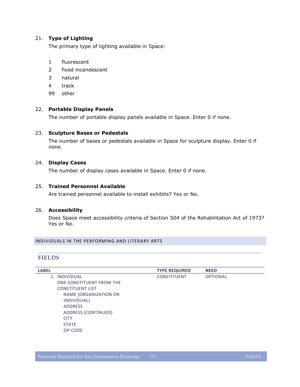# 21. **Type of Lighting**

The primary type of lighting available in Space:

- 1 fluorescent
- 2 fixed incandescent
- 3 natural
- 4 track
- 99 other

# 22. **Portable Display Panels**

The number of portable display panels available in Space. Enter 0 if none.

# 23. **Sculpture Bases or Pedestals**

The number of bases or pedestals available in Space for sculpture display. Enter 0 if none.

# 24. **Display Cases**

The number of display cases available in Space. Enter 0 if none.

#### 25. **Trained Personnel Available**

Are trained personnel available to install exhibits? Yes or No.

# 26. **Accessibility**

Does Space meet accessibility criteria of Section 504 of the Rehabilitation Act of 1973? Yes or No.

#### <span id="page-56-1"></span><span id="page-56-0"></span>INDIVIDUALS IN THE PERFORMING AND LITERARY ARTS

#### **FIELDS**

| <b>LABEL</b>             | <b>TYPE REQUIRED</b> | <b>NEED</b>     |
|--------------------------|----------------------|-----------------|
| <b>INDIVIDUAL</b><br>1.  | <b>CONSTITUENT</b>   | <b>OPTIONAL</b> |
| ONE CONSTITUENT FROM THE |                      |                 |
| <b>CONSTITUENT LIST</b>  |                      |                 |
| NAME (ORGANIZATION OR    |                      |                 |
| INDIVIDUAL)              |                      |                 |
| <b>ADDRESS</b>           |                      |                 |
| ADDRESS (CONTINUED)      |                      |                 |
| <b>CITY</b>              |                      |                 |
| <b>STATE</b>             |                      |                 |
| <b>ZIP CODE</b>          |                      |                 |
|                          |                      |                 |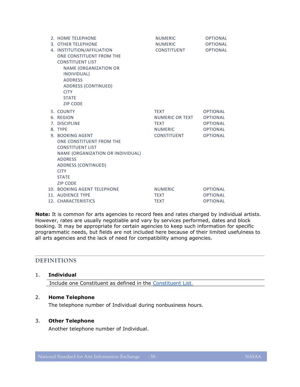| 2. HOME TELEPHONE                 | <b>NUMERIC</b>  | <b>OPTIONAL</b> |
|-----------------------------------|-----------------|-----------------|
| 3. OTHER TELEPHONE                | <b>NUMERIC</b>  | <b>OPTIONAL</b> |
| 4. INSTITUTION/AFFILIATION        | CONSTITUENT     | <b>OPTIONAL</b> |
| ONE CONSTITUENT FROM THE          |                 |                 |
| <b>CONSTITUENT LIST</b>           |                 |                 |
| <b>NAME (ORGANIZATION OR</b>      |                 |                 |
| INDIVIDUAL)                       |                 |                 |
| <b>ADDRESS</b>                    |                 |                 |
| <b>ADDRESS (CONTINUED)</b>        |                 |                 |
| <b>CITY</b>                       |                 |                 |
| <b>STATE</b>                      |                 |                 |
| <b>ZIP CODE</b>                   |                 |                 |
| 5. COUNTY                         | <b>TEXT</b>     | <b>OPTIONAL</b> |
| 6. REGION                         | NUMERIC OR TEXT | <b>OPTIONAL</b> |
| 7. DISCIPLINE                     | <b>TEXT</b>     | <b>OPTIONAL</b> |
| 8. TYPF                           | <b>NUMERIC</b>  | <b>OPTIONAL</b> |
| 9. BOOKING AGENT                  | CONSTITUENT     | <b>OPTIONAL</b> |
| ONE CONSTITUENT FROM THE          |                 |                 |
| <b>CONSTITUENT LIST</b>           |                 |                 |
| NAME (ORGANIZATION OR INDIVIDUAL) |                 |                 |
| <b>ADDRESS</b>                    |                 |                 |
| ADDRESS (CONTINUED)               |                 |                 |
| <b>CITY</b>                       |                 |                 |
| <b>STATE</b>                      |                 |                 |
| <b>ZIP CODE</b>                   |                 |                 |
| 10. BOOKING AGENT TELEPHONE       | <b>NUMERIC</b>  | <b>OPTIONAL</b> |
| <b>11. AUDIENCE TYPE</b>          | <b>TEXT</b>     | <b>OPTIONAL</b> |
| 12. CHARACTERISTICS               | <b>TEXT</b>     | <b>OPTIONAL</b> |

**Note:** It is common for arts agencies to record fees and rates charged by individual artists. However, rates are usually negotiable and vary by services performed, dates and block booking. It may be appropriate for certain agencies to keep such information for specific programmatic needs, but fields are not included here because of their limited usefulness to all arts agencies and the lack of need for compatibility among agencies.

# <span id="page-57-0"></span>**DEFINITIONS**

#### 1. **Individual**

Include one Constituent as defined in the [Constituent List.](#page-9-0)

# 2. **Home Telephone**

The telephone number of Individual during nonbusiness hours.

#### 3. **Other Telephone**

Another telephone number of Individual.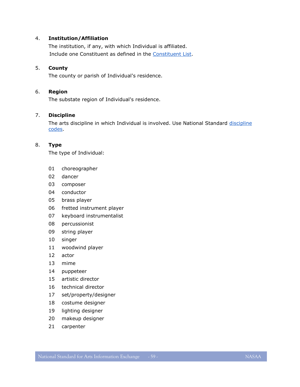# 4. **Institution/Affiliation**

The institution, if any, with which Individual is affiliated. Include one Constituent as defined in the [Constituent List.](#page-9-0)

# 5. **County**

The county or parish of Individual's residence.

# 6. **Region**

The substate region of Individual's residence.

# 7. **Discipline**

The arts [discipline](#page-15-0) in which Individual is involved. Use National Standard discipline [codes.](#page-15-0)

# 8. **Type**

The type of Individual:

- choreographer
- dancer
- composer
- conductor
- brass player
- fretted instrument player
- keyboard instrumentalist
- percussionist
- string player
- singer
- woodwind player
- actor
- mime
- puppeteer
- artistic director
- technical director
- set/property/designer
- costume designer
- lighting designer
- makeup designer
- carpenter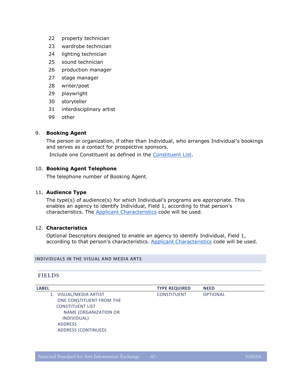- 22 property technician
- 23 wardrobe technician
- 24 lighting technician
- 25 sound technician
- 26 production manager
- 27 stage manager
- 28 writer/poet
- 29 playwright
- 30 storyteller
- 31 interdisciplinary artist
- 99 other

# 9. **Booking Agent**

The person or organization, if other than Individual, who arranges Individual's bookings and serves as a contact for prospective sponsors.

Include one Constituent as defined in the [Constituent List.](#page-9-0)

# 10. **Booking Agent Telephone**

The telephone number of Booking Agent.

# 11. **Audience Type**

The type(s) of audience(s) for which Individual's programs are appropriate. This enables an agency to identify Individual, Field 1, according to that person's characteristics. The **Applicant Characteristics** code will be used.

#### 12. **Characteristics**

Optional Descriptors designed to enable an agency to identify Individual, Field 1, according to that person's characteristics. [Applicant Characteristics](#page-24-0) code will be used.

#### <span id="page-59-1"></span><span id="page-59-0"></span>INDIVIDUALS IN THE VISUAL AND MEDIA ARTS

# **FIELDS**

1. VISUAL/MEDIA ARTIST CONSTITUENT OPTIONAL ONE CONSTITUENT FROM THE [CONSTITUENT LIST](#page-9-0) NAME (ORGANIZATION OR INDIVIDUAL) ADDRESS ADDRESS (CONTINUED)

**LABEL TYPE REQUIRED NEED**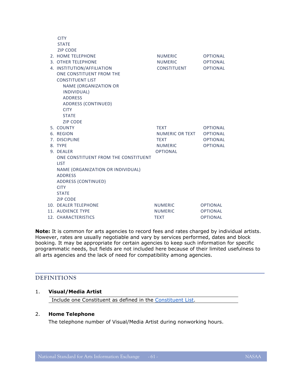| <b>CITY</b>                          |                 |                 |
|--------------------------------------|-----------------|-----------------|
| <b>STATE</b>                         |                 |                 |
| <b>ZIP CODE</b>                      |                 |                 |
| 2. HOME TELEPHONE                    | <b>NUMERIC</b>  | <b>OPTIONAL</b> |
| 3. OTHER TELEPHONE                   | <b>NUMERIC</b>  | <b>OPTIONAL</b> |
| 4. INSTITUTION/AFFILIATION           | CONSTITUENT     | <b>OPTIONAL</b> |
| ONE CONSTITUENT FROM THE             |                 |                 |
| <b>CONSTITUENT LIST</b>              |                 |                 |
| <b>NAME (ORGANIZATION OR</b>         |                 |                 |
| INDIVIDUAL)                          |                 |                 |
| <b>ADDRESS</b>                       |                 |                 |
| <b>ADDRESS (CONTINUED)</b>           |                 |                 |
| <b>CITY</b>                          |                 |                 |
| <b>STATE</b>                         |                 |                 |
| <b>ZIP CODE</b>                      |                 |                 |
| 5. COUNTY                            | <b>TEXT</b>     | <b>OPTIONAL</b> |
| 6. REGION                            | NUMERIC OR TEXT | <b>OPTIONAL</b> |
| 7. DISCIPLINE                        | <b>TEXT</b>     | <b>OPTIONAL</b> |
| 8. TYPE                              | <b>NUMERIC</b>  | <b>OPTIONAL</b> |
| 9. DEALER                            | <b>OPTIONAL</b> |                 |
| ONE CONSTITUENT FROM THE CONSTITUENT |                 |                 |
| <b>LIST</b>                          |                 |                 |
| NAME (ORGANIZATION OR INDIVIDUAL)    |                 |                 |
| <b>ADDRESS</b>                       |                 |                 |
| <b>ADDRESS (CONTINUED)</b>           |                 |                 |
| <b>CITY</b>                          |                 |                 |
| <b>STATE</b>                         |                 |                 |
| <b>ZIP CODE</b>                      |                 |                 |
| 10. DEALER TELEPHONE                 | <b>NUMERIC</b>  | <b>OPTIONAL</b> |
| 11. AUDIENCE TYPE                    | <b>NUMERIC</b>  | <b>OPTIONAL</b> |
| 12. CHARACTERISTICS                  | <b>TEXT</b>     | <b>OPTIONAL</b> |

**Note:** It is common for arts agencies to record fees and rates charged by individual artists. However, rates are usually negotiable and vary by services performed, dates and block booking. It may be appropriate for certain agencies to keep such information for specific programmatic needs, but fields are not included here because of their limited usefulness to all arts agencies and the lack of need for compatibility among agencies.

# <span id="page-60-0"></span>**DEFINITIONS**

# 1. **Visual/Media Artist**

Include one Constituent as defined in the [Constituent List.](#page-9-0)

# 2. **Home Telephone**

The telephone number of Visual/Media Artist during nonworking hours.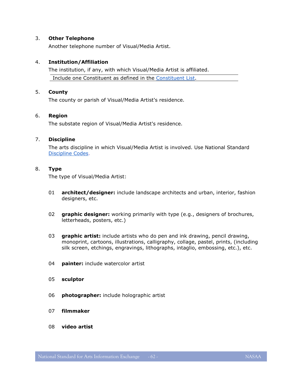# 3. **Other Telephone**

Another telephone number of Visual/Media Artist.

# 4. **Institution/Affiliation**

The institution, if any, with which Visual/Media Artist is affiliated. Include one Constituent as defined in the [Constituent List.](#page-9-0)

#### 5. **County**

The county or parish of Visual/Media Artist's residence.

# 6. **Region**

The substate region of Visual/Media Artist's residence.

#### 7. **Discipline**

The arts discipline in which Visual/Media Artist is involved. Use National Standard [Discipline Codes.](#page-15-0)

#### 8. **Type**

The type of Visual/Media Artist:

- 01 **architect/designer:** include landscape architects and urban, interior, fashion designers, etc.
- 02 **graphic designer:** working primarily with type (e.g., designers of brochures, letterheads, posters, etc.)
- 03 **graphic artist:** include artists who do pen and ink drawing, pencil drawing, monoprint, cartoons, illustrations, calligraphy, collage, pastel, prints, (including silk screen, etchings, engravings, lithographs, intaglio, embossing, etc.), etc.
- 04 **painter:** include watercolor artist
- 05 **sculptor**
- 06 **photographer:** include holographic artist
- 07 **filmmaker**
- 08 **video artist**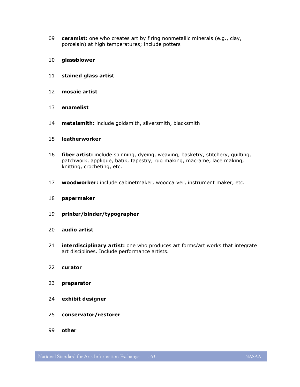- **ceramist:** one who creates art by firing nonmetallic minerals (e.g., clay, porcelain) at high temperatures; include potters
- **glassblower**
- **stained glass artist**
- **mosaic artist**
- **enamelist**
- **metalsmith:** include goldsmith, silversmith, blacksmith
- **leatherworker**
- **fiber artist:** include spinning, dyeing, weaving, basketry, stitchery, quilting, patchwork, applique, batik, tapestry, rug making, macrame, lace making, knitting, crocheting, etc.
- **woodworker:** include cabinetmaker, woodcarver, instrument maker, etc.
- **papermaker**
- **printer/binder/typographer**
- **audio artist**
- **interdisciplinary artist:** one who produces art forms/art works that integrate art disciplines. Include performance artists.
- **curator**
- **preparator**
- **exhibit designer**
- **conservator/restorer**
- **other**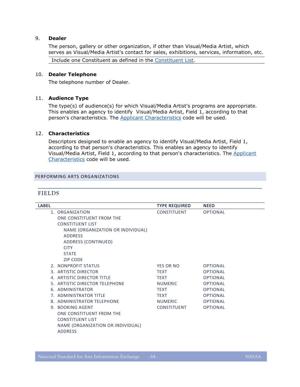#### 9. **Dealer**

The person, gallery or other organization, if other than Visual/Media Artist, which serves as Visual/Media Artist's contact for sales, exhibitions, services, information, etc.

Include one Constituent as defined in the [Constituent List.](#page-9-0)

#### 10. **Dealer Telephone**

The telephone number of Dealer.

#### 11. **Audience Type**

The type(s) of audience(s) for which Visual/Media Artist's programs are appropriate. This enables an agency to identify Visual/Media Artist, Field 1, according to that person's characteristics. The **Applicant Characteristics** code will be used.

#### 12. **Characteristics**

Descriptors designed to enable an agency to identify Visual/Media Artist, Field 1, according to that person's characteristics. This enables an agency to identify Visual/Media Artist, Field 1, according to that person's characteristics. The [Applicant](#page-24-0)  [Characteristics](#page-24-0) code will be used.

#### <span id="page-63-1"></span><span id="page-63-0"></span>PERFORMING ARTS ORGANIZATIONS

#### **FIELDS**

 $\overline{a}$ 

| <b>LABEL</b> |                                   | <b>TYPE REQUIRED</b> | <b>NEED</b>     |
|--------------|-----------------------------------|----------------------|-----------------|
|              | 1. ORGANIZATION                   | <b>CONSTITUENT</b>   | <b>OPTIONAL</b> |
|              | ONE CONSTITUENT FROM THE          |                      |                 |
|              | <b>CONSTITUENT LIST</b>           |                      |                 |
|              | NAME (ORGANIZATION OR INDIVIDUAL) |                      |                 |
|              | <b>ADDRESS</b>                    |                      |                 |
|              | ADDRESS (CONTINUED)               |                      |                 |
|              | <b>CITY</b>                       |                      |                 |
|              | <b>STATE</b>                      |                      |                 |
|              | <b>ZIP CODE</b>                   |                      |                 |
|              | 2. NONPROFIT STATUS               | <b>YES OR NO</b>     | <b>OPTIONAL</b> |
|              | 3. ARTISTIC DIRECTOR              | <b>TEXT</b>          | <b>OPTIONAL</b> |
|              | 4. ARTISTIC DIRECTOR TITLE        | <b>TEXT</b>          | <b>OPTIONAL</b> |
|              | 5. ARTISTIC DIRECTOR TELEPHONE    | <b>NUMERIC</b>       | <b>OPTIONAL</b> |
|              | 6. ADMINISTRATOR                  | <b>TEXT</b>          | <b>OPTIONAL</b> |
|              | 7. ADMINISTRATOR TITLE            | <b>TEXT</b>          | <b>OPTIONAL</b> |
|              | 8. ADMINISTRATOR TELEPHONE        | <b>NUMERIC</b>       | <b>OPTIONAL</b> |
|              | 9. BOOKING AGENT                  | CONSTITUENT          | <b>OPTIONAL</b> |
|              | ONE CONSTITUENT FROM THE          |                      |                 |
|              | <b>CONSTITUENT LIST</b>           |                      |                 |
|              | NAME (ORGANIZATION OR INDIVIDUAL) |                      |                 |
|              | <b>ADDRESS</b>                    |                      |                 |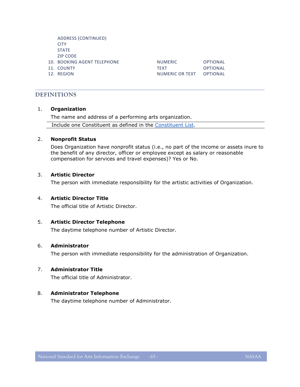ADDRESS (CONTINUED) **CITY** STATE ZIP CODE

- 
- 
- 

10. BOOKING AGENT TELEPHONE NUMERIC OPTIONAL 11. COUNTY TEXT OPTIONAL 12. REGION **NUMERIC OR TEXT** OPTIONAL

# <span id="page-64-0"></span>**DEFINITIONS**

#### 1. **Organization**

The name and address of a performing arts organization.

Include one Constituent as defined in the [Constituent List.](#page-9-0)

#### 2. **Nonprofit Status**

Does Organization have nonprofit status (i.e., no part of the income or assets inure to the benefit of any director, officer or employee except as salary or reasonable compensation for services and travel expenses)? Yes or No.

#### 3. **Artistic Director**

The person with immediate responsibility for the artistic activities of Organization.

#### 4. **Artistic Director Title**

The official title of Artistic Director.

#### 5. **Artistic Director Telephone**

The daytime telephone number of Artistic Director.

#### 6. **Administrator**

The person with immediate responsibility for the administration of Organization.

#### 7. **Administrator Title**

The official title of Administrator.

# 8. **Administrator Telephone**

The daytime telephone number of Administrator.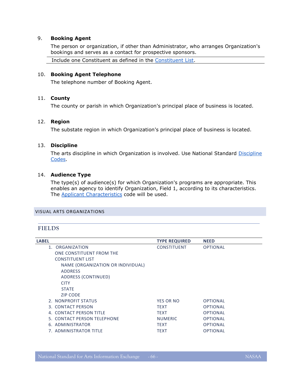#### 9. **Booking Agent**

The person or organization, if other than Administrator, who arranges Organization's bookings and serves as a contact for prospective sponsors.

Include one Constituent as defined in the [Constituent List.](#page-9-0)

#### 10. **Booking Agent Telephone**

The telephone number of Booking Agent.

# 11. **County**

The county or parish in which Organization's principal place of business is located.

#### 12. **Region**

The substate region in which Organization's principal place of business is located.

#### 13. **Discipline**

The arts discipline in which Organization is involved. Use National Standard Discipline [Codes.](#page-15-0)

# 14. **Audience Type**

The type(s) of audience(s) for which Organization's programs are appropriate. This enables an agency to identify Organization, Field 1, according to its characteristics. The **Applicant Characteristics** code will be used.

#### <span id="page-65-1"></span><span id="page-65-0"></span>VISUAL ARTS ORGANIZATIONS

# **FIELDS**

| <b>LABEL</b>                      | <b>TYPE REQUIRED</b> | <b>NEED</b>     |
|-----------------------------------|----------------------|-----------------|
| 1. ORGANIZATION                   | <b>CONSTITUENT</b>   | <b>OPTIONAL</b> |
| ONE CONSTITUENT FROM THE          |                      |                 |
| <b>CONSTITUENT LIST</b>           |                      |                 |
| NAME (ORGANIZATION OR INDIVIDUAL) |                      |                 |
| <b>ADDRESS</b>                    |                      |                 |
| ADDRESS (CONTINUED)               |                      |                 |
| <b>CITY</b>                       |                      |                 |
| <b>STATE</b>                      |                      |                 |
| <b>ZIP CODE</b>                   |                      |                 |
| 2. NONPROFIT STATUS               | <b>YES OR NO</b>     | <b>OPTIONAL</b> |
| 3. CONTACT PERSON                 | <b>TEXT</b>          | <b>OPTIONAL</b> |
| 4. CONTACT PERSON TITLE           | <b>TEXT</b>          | <b>OPTIONAL</b> |
| 5. CONTACT PERSON TELEPHONE       | <b>NUMERIC</b>       | <b>OPTIONAL</b> |
| 6. ADMINISTRATOR                  | <b>TEXT</b>          | <b>OPTIONAL</b> |
| 7. ADMINISTRATOR TITLE            | <b>TEXT</b>          | <b>OPTIONAL</b> |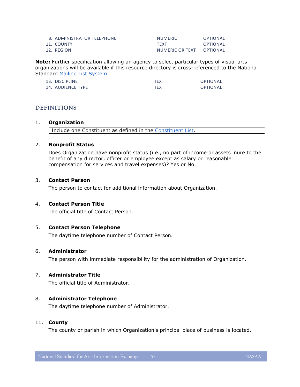| 8. ADMINISTRATOR TELEPHONE | <b>NUMERIC</b>  | OPTIONAL |
|----------------------------|-----------------|----------|
| 11. COUNTY                 | <b>TFXT</b>     | OPTIONAL |
| 12. REGION                 | NUMERIC OR TEXT | OPTIONAL |

**Note:** Further specification allowing an agency to select particular types of visual arts organizations will be available if this resource directory is cross-referenced to the National Standard [Mailing List System.](#page-10-0)

| 13. DISCIPLINE    | <b>TFXT</b> | <b>OPTIONAL</b> |
|-------------------|-------------|-----------------|
| 14. AUDIENCE TYPE | <b>TFXT</b> | <b>OPTIONAL</b> |

# <span id="page-66-0"></span>**DEFINITIONS**

#### 1. **Organization**

Include one Constituent as defined in the [Constituent List.](#page-9-0)

#### 2. **Nonprofit Status**

Does Organization have nonprofit status (i.e., no part of income or assets inure to the benefit of any director, officer or employee except as salary or reasonable compensation for services and travel expenses)? Yes or No.

#### 3. **Contact Person**

The person to contact for additional information about Organization.

#### 4. **Contact Person Title**

The official title of Contact Person.

#### 5. **Contact Person Telephone**

The daytime telephone number of Contact Person.

#### 6. **Administrator**

The person with immediate responsibility for the administration of Organization.

#### 7. **Administrator Title**

The official title of Administrator.

#### 8. **Administrator Telephone**

The daytime telephone number of Administrator.

#### 11. **County**

The county or parish in which Organization's principal place of business is located.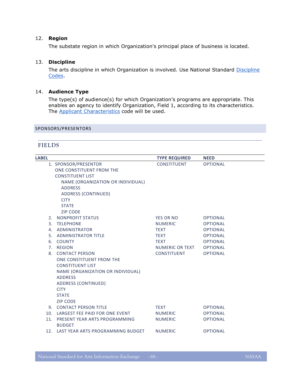# 12. **Region**

The substate region in which Organization's principal place of business is located.

#### 13. **Discipline**

The arts discipline in which Organization is involved. Use National Standard Discipline [Codes.](#page-15-0)

# 14. **Audience Type**

The type(s) of audience(s) for which Organization's programs are appropriate. This enables an agency to identify Organization, Field 1, according to its characteristics. The [Applicant Characteristics](#page-24-0) code will be used.

#### <span id="page-67-1"></span><span id="page-67-0"></span>SPONSORS/PRESENTORS

# **FIELDS**

| <b>LABEL</b> |                                       | <b>TYPE REQUIRED</b> | <b>NEED</b>     |
|--------------|---------------------------------------|----------------------|-----------------|
|              | 1. SPONSOR/PRESENTOR                  | <b>CONSTITUENT</b>   | <b>OPTIONAL</b> |
|              | ONE CONSTITUENT FROM THE              |                      |                 |
|              | <b>CONSTITUENT LIST</b>               |                      |                 |
|              | NAME (ORGANIZATION OR INDIVIDUAL)     |                      |                 |
|              | <b>ADDRESS</b>                        |                      |                 |
|              | <b>ADDRESS (CONTINUED)</b>            |                      |                 |
|              | <b>CITY</b>                           |                      |                 |
|              | <b>STATE</b>                          |                      |                 |
|              | <b>ZIP CODE</b>                       |                      |                 |
|              | 2. NONPROFIT STATUS                   | <b>YES OR NO</b>     | <b>OPTIONAL</b> |
|              | 3. TELEPHONE                          | <b>NUMERIC</b>       | <b>OPTIONAL</b> |
|              | 4. ADMINISTRATOR                      | <b>TEXT</b>          | <b>OPTIONAL</b> |
|              | 5. ADMINISTRATOR TITLE                | <b>TEXT</b>          | <b>OPTIONAL</b> |
|              | 6. COUNTY                             | <b>TEXT</b>          | <b>OPTIONAL</b> |
|              | 7. REGION                             | NUMERIC OR TEXT      | <b>OPTIONAL</b> |
|              | 8. CONTACT PERSON                     | <b>CONSTITUENT</b>   | <b>OPTIONAL</b> |
|              | ONE CONSTITUENT FROM THE              |                      |                 |
|              | <b>CONSTITUENT LIST</b>               |                      |                 |
|              | NAME (ORGANIZATION OR INDIVIDUAL)     |                      |                 |
|              | <b>ADDRESS</b>                        |                      |                 |
|              | ADDRESS (CONTINUED)<br><b>CITY</b>    |                      |                 |
|              | <b>STATE</b>                          |                      |                 |
|              | <b>ZIP CODE</b>                       |                      |                 |
|              | 9. CONTACT PERSON TITLE               | <b>TEXT</b>          | <b>OPTIONAL</b> |
|              | 10. LARGEST FEE PAID FOR ONE EVENT    | NUMERIC              | <b>OPTIONAL</b> |
|              | 11. PRESENT YEAR ARTS PROGRAMMING     | <b>NUMERIC</b>       | <b>OPTIONAL</b> |
|              | <b>BUDGET</b>                         |                      |                 |
|              | 12. LAST YEAR ARTS PROGRAMMING BUDGET | <b>NUMERIC</b>       | <b>OPTIONAL</b> |
|              |                                       |                      |                 |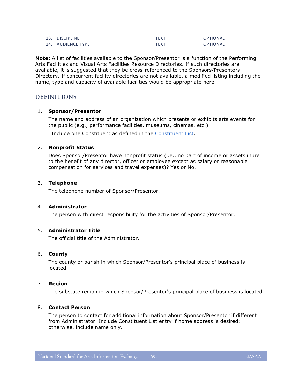| 13. DISCIPLINE    | TFXT        | OPTIONAL |
|-------------------|-------------|----------|
| 14. AUDIENCE TYPE | <b>TFXT</b> | OPTIONAL |

**Note:** A list of facilities available to the Sponsor/Presentor is a function of the Performing Arts Facilities and Visual Arts Facilities Resource Directories. If such directories are available, it is suggested that they be cross-referenced to the Sponsors/Presentors Directory. If concurrent facility directories are not available, a modified listing including the name, type and capacity of available facilities would be appropriate here.

# <span id="page-68-0"></span>**DEFINITIONS**

#### 1. **Sponsor/Presentor**

The name and address of an organization which presents or exhibits arts events for the public (e.g., performance facilities, museums, cinemas, etc.).

Include one Constituent as defined in the [Constituent List.](#page-9-0)

#### 2. **Nonprofit Status**

Does Sponsor/Presentor have nonprofit status (i.e., no part of income or assets inure to the benefit of any director, officer or employee except as salary or reasonable compensation for services and travel expenses)? Yes or No.

#### 3. **Telephone**

The telephone number of Sponsor/Presentor.

#### 4. **Administrator**

The person with direct responsibility for the activities of Sponsor/Presentor.

# 5. **Administrator Title**

The official title of the Administrator.

#### 6. **County**

The county or parish in which Sponsor/Presentor's principal place of business is located.

# 7. **Region**

The substate region in which Sponsor/Presentor's principal place of business is located

#### 8. **Contact Person**

The person to contact for additional information about Sponsor/Presentor if different from Administrator. Include Constituent List entry if home address is desired; otherwise, include name only.